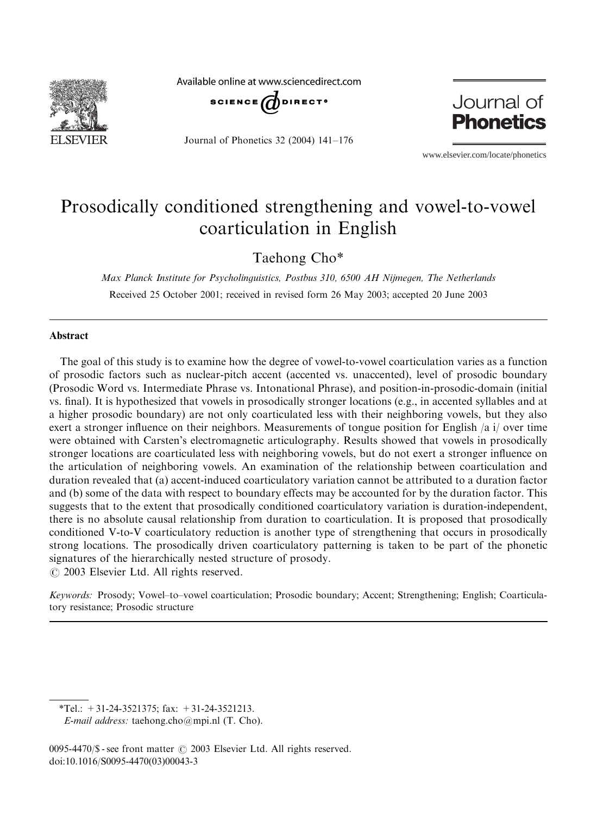

Available online at www.sciencedirect.com



Journal of Phonetics 32 (2004) 141–176



www.elsevier.com/locate/phonetics

# Prosodically conditioned strengthening and vowel-to-vowel coarticulation in English

Taehong Cho\*

Max Planck Institute for Psycholinguistics, Postbus 310, 6500 AH Nijmegen, The Netherlands Received 25 October 2001; received in revised form 26 May 2003; accepted 20 June 2003

#### Abstract

The goal of this study is to examine how the degree of vowel-to-vowel coarticulation varies as a function of prosodic factors such as nuclear-pitch accent (accented vs. unaccented), level of prosodic boundary (Prosodic Word vs. Intermediate Phrase vs. Intonational Phrase), and position-in-prosodic-domain (initial vs. final). It is hypothesized that vowels in prosodically stronger locations (e.g., in accented syllables and at a higher prosodic boundary) are not only coarticulated less with their neighboring vowels, but they also exert a stronger influence on their neighbors. Measurements of tongue position for English /a i/ over time were obtained with Carsten's electromagnetic articulography. Results showed that vowels in prosodically stronger locations are coarticulated less with neighboring vowels, but do not exert a stronger influence on the articulation of neighboring vowels. An examination of the relationship between coarticulation and duration revealed that (a) accent-induced coarticulatory variation cannot be attributed to a duration factor and (b) some of the data with respect to boundary effects may be accounted for by the duration factor. This suggests that to the extent that prosodically conditioned coarticulatory variation is duration-independent, there is no absolute causal relationship from duration to coarticulation. It is proposed that prosodically conditioned V-to-V coarticulatory reduction is another type of strengthening that occurs in prosodically strong locations. The prosodically driven coarticulatory patterning is taken to be part of the phonetic signatures of the hierarchically nested structure of prosody.  $\odot$  2003 Elsevier Ltd. All rights reserved.

Keywords: Prosody; Vowel–to–vowel coarticulation; Prosodic boundary; Accent; Strengthening; English; Coarticulatory resistance; Prosodic structure

\*Tel.:  $+31-24-3521375$ ; fax:  $+31-24-3521213$ .

 $E$ -mail address: taehong.cho $@$ mpi.nl (T. Cho).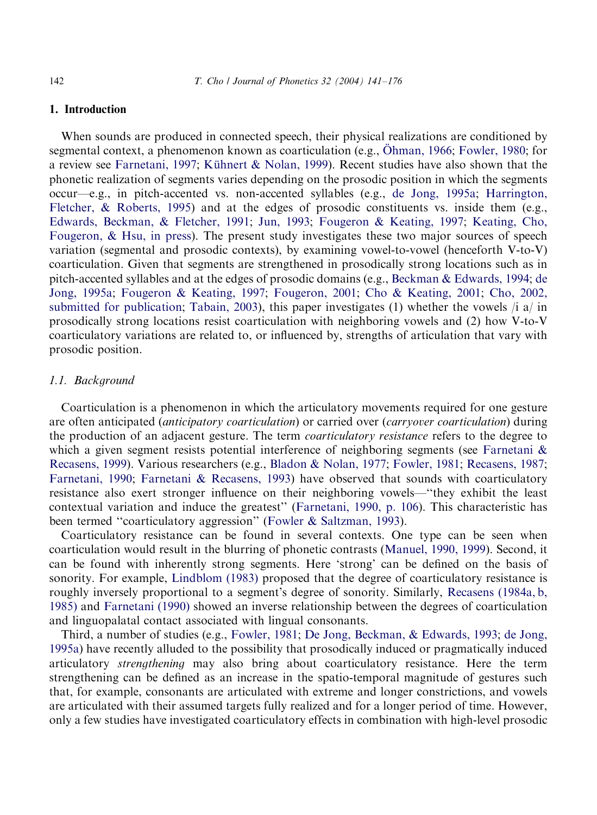# 1. Introducti[on](#page-32-0)

When sounds are produced in connected speech, their physical [realizations are co](#page-32-0)[nditioned by](#page-33-0) [segmental](#page-33-0) c[ontext, a phenom](#page-33-0)enon known as coarticulation (e.g., Öhman, 1966; Fowler, 1980; for [a review see](#page-32-0) Farnetani, 1997; Kühnert [& Nolan, 19](#page-33-0)99[\). Recent](#page-33-0) s[tudies have also](#page-33-0) [shown that the](#page-33-0) [phonetic rea](#page-33-0)l[ization of segm](#page-33-0)ents varies depending on the prosodic position in which the segments occur—e.g., in pitch-accented vs. non-accented syllables (e.g., de Jong, 1995a; Harrington, Fletcher, & Roberts, 1995) and at the edges of prosodic constituents vs. inside them (e.g., Edwards, Beckman, & Fletcher, 1991; Jun, 1993; Fougeron & [Keating, 1](#page-32-0)997; [Keating, Cho,](#page-32-0) [Fougeron, &](#page-32-0) [Hsu, in pr](#page-33-0)e[ss\). The present](#page-33-0) [study investigate](#page-33-0)s [these](#page-32-0) t[wo major sourc](#page-32-0)e[s of speech](#page-32-0) [variation \(segmental and](#page-32-0) [prosodic conte](#page-35-0)xts), by examining vowel-to-vowel (henceforth V-to-V) coarticulation. Given that segments are strengthened in prosodically strong locations such as in pitch-accented syllables and at the edges of prosodic domains (e.g., Beckman & Edwards, 1994; de Jong, 1995a; Fougeron & Keating, 1997; Fougeron, 2001; Cho & Keating, 2001; Cho, 2002, submitted for publication; Tabain, 2003), this paper investigates (1) whether the vowels  $\pi$  in prosodically strong locations resist coarticulation with neighboring vowels and (2) how V-to-V coarticulatory variations are related to, or influenced by, strengths of articulation that vary with prosodic position.

# 1.1. Background

[Coarticulatio](#page-33-0)n is a phenomenon in whic[h the art](#page-32-0)i[culatory move](#page-32-0)[ments require](#page-33-0)[d for one gesture](#page-34-0) [are often anticip](#page-32-0)ated ([anticip](#page-32-0)a[tory coarticulation](#page-32-0)) or carried over (carryover coarticulation) during the production of an adjacent gesture. The term *coarticulatory resistance* refers to the degree to which a given segment resists potential interfe[rence of neighboring seg](#page-32-0)ments (see Farnetani  $\&$ Recasens, 1999). Various researchers (e.g., [Bladon](#page-33-0) [& Nolan, 1977;](#page-33-0) Fowler, 1981; Recasens, 1987; Farnetani, 1990; Farnetani & Recasens, 1993) have observed that sounds with coarticulatory resistance also exert stronger influence on their neighboring [vowels—''they exhib](#page-34-0)it the least contextual variation and induce the greatest'' (Farnetani, 1990, p. 106). This characteristic has been termed "coarticulatory aggression" (Fowler & Saltzman, 1993).

Coarticulatory resistance can be found in several contexts. One type [can be seen when](#page-34-0) [coarti](#page-34-0)culat[ion would result](#page-32-0) in the blurring of phonetic contrasts (Manuel, 1990, 1999). Second, it can be found with inherently strong segments. Here 'strong' can be defined on the basis of sonority. For example, Lindblom (1983) [propose](#page-33-0)[d that the degree of](#page-32-0) c[oarticulatory res](#page-32-0)i[stance is](#page-32-0) [rough](#page-32-0)ly inversely proportional to a segment's degree of sonority. Similarly, Recasens (1984a, b, 1985) and Farnetani (1990) showed an inverse relationship between the degrees of coarticulation and linguopalatal contact associated with lingual consonants.

Third, a number of studies (e.g., Fowler, 1981; De Jong, Beckman, & Edwards, 1993; de Jong, 1995a) have recently alluded to the possibility that prosodically induced or pragmatically induced articulatory strengthening may also bring about coarticulatory resistance. Here the term strengthening can be defined as an increase in the spatio-temporal magnitude of gestures such that, for example, consonants are articulated with extreme and longer constrictions, and vowels are articulated with their assumed targets fully realized and for a longer period of time. However, only a few studies have investigated coarticulatory effects in combination with high-level prosodic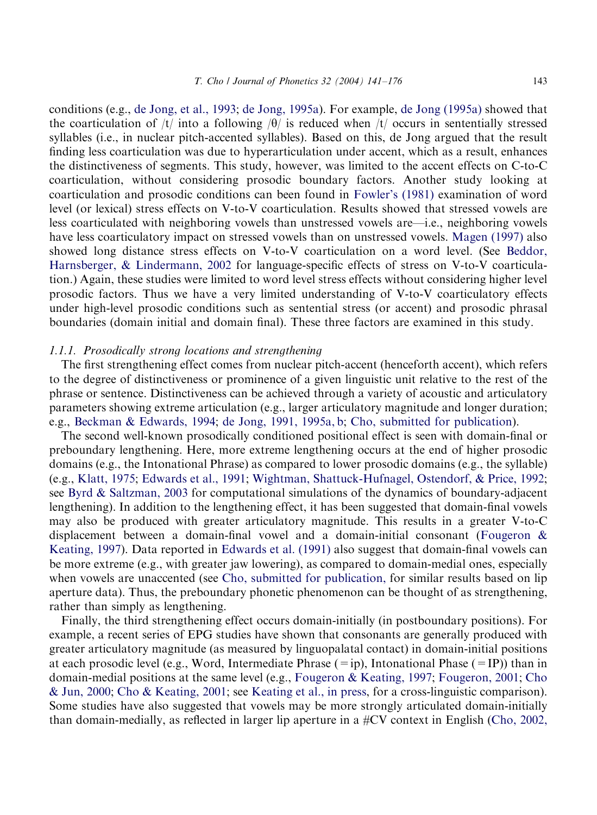conditions (e.g., de Jong, et al., 1993; de Jong, 1995a). For example, de Jong (1995a) showed that the coarticulation of /t/ into a following / $\theta$ / is reduced when /t/ occurs in sententially stressed syllables (i.e., in nuclear pitch-accented syllables). Based o[n this, de Jong](#page-33-0) argued that the result finding less coarticulation was due to hyperarticulation under accent, which as a result, enhances the distinctiveness of segments. This study, however, was limited to the accent effects on C-to-C coarticulation, without considering prosodic boundary factors. Another [study lookin](#page-34-0)g at coarticulation and prosodic conditions can been found in Fowler's (1981) examination [of word](#page-32-0) [level \(or lexica](#page-32-0)l[\) stress effects on V-](#page-32-0)to-V coarticulation. Results showed that stressed vowels are less coarticulated with neighboring vowels than unstressed vowels are—i.e., neighboring vowels have less coarticulatory impact on stressed vowels than on unstressed vowels. Magen (1997) also showed long distance stress effects on V-to-V coarticulation on a word level. (See Beddor, Harnsberger, & Lindermann, 2002 for language-specific effects of stress on V-to-V coarticulation.) Again, these studies were limited to word level stress effects without considering higher level prosodic factors. Thus we have a very limited understanding of V-to-V coarticulatory effects under high-level prosodic conditions such as sentential stress (or accent) and prosodic phrasal boundaries (domain initial and domain final). These three factors are examined in this study.

# 1.1.1. Prosodically strong locations and strengthening

T[he first strengthening effect comes from nuclear pitch-](#page-32-0)a[ccent \(henceforth accent\), which](#page-32-0) refers to the degree of distinctiveness or prominence of a given linguistic unit relative to the rest of the phrase or sentence. Distinctiveness can be achieved through a variety of acoustic and articulatory parameters showing extreme articulation (e.g., larger articulatory magnitude and longer duration; e.g., [Beckman &](#page-33-0) [Edwards, 1994;](#page-32-0) de Jong, 1991, 1995a, b; [Cho, submitted for publ](#page-35-0)i[cation\).](#page-35-0)

[The second well-known p](#page-32-0)rosodically conditioned positional effect is seen with domain-final or preboundary lengthening. Here, more extreme lengthening occurs at the end of higher prosodic domains (e.g., the Intonational Phrase) as compared to lower prosodic domains (e.g., the syllable) (e.g., Klatt, 1975; Edwards et al., 1991; Wightman, Shattuck-Hufnagel, Ostendorf, [& Price, 1992](#page-33-0); see [Byrd & Sa](#page-33-0)ltzman, 2003 for c[omputational simulatio](#page-32-0)ns of the dynamics of boundary-adjacent lengthening). In addition to the lengthening effect, it has been suggested that domain-final vowels may also be produced with gre[ater articulatory magnitude. Th](#page-32-0)is results in a greater V-to-C displacement between a domain-final vowel and a domain-initial consonant (Fougeron & Keating, 1997). Data reported in Edwards et al. (1991) also suggest that domain-final vowels can be more extreme (e.g., with greater jaw lowering), as compared to domain-medial ones, especially when vowels are unaccented (see Cho, submitted for publication, for similar results based on lip aperture data). Thus, the preboundary phonetic phenomenon can be thought of as strengthening, rather than simply as lengthening.

Finally, the third strengthening effect occurs [domain-ini](#page-33-0)ti[ally \(in postboundary positions\)](#page-33-0). [For](#page-32-0) e[xample, a recent series of EPG stu](#page-32-0)die[s have shown that conso](#page-33-0)nants are generally produced with greater articulatory magnitude (as measured by linguopalatal contact) in domain-initial positions at each prosodic level (e.g., Word, Intermediate Phrase  $(=ip)$ , Intonational Phase  $(=IP)$ ) than in domain-medial positions at the same level (e.g., Fougeron & Keating, 1997; Fougeron, 2001; Cho & Jun, 2000; Cho & Keating, 2001; see Keating et al., in press, for a cross-linguistic comparison). Some studies have also suggested that vowels may be more strongly articulated domain-initially than domain-medially, as reflected in larger lip aperture in a #CV context in English (Cho, 2002,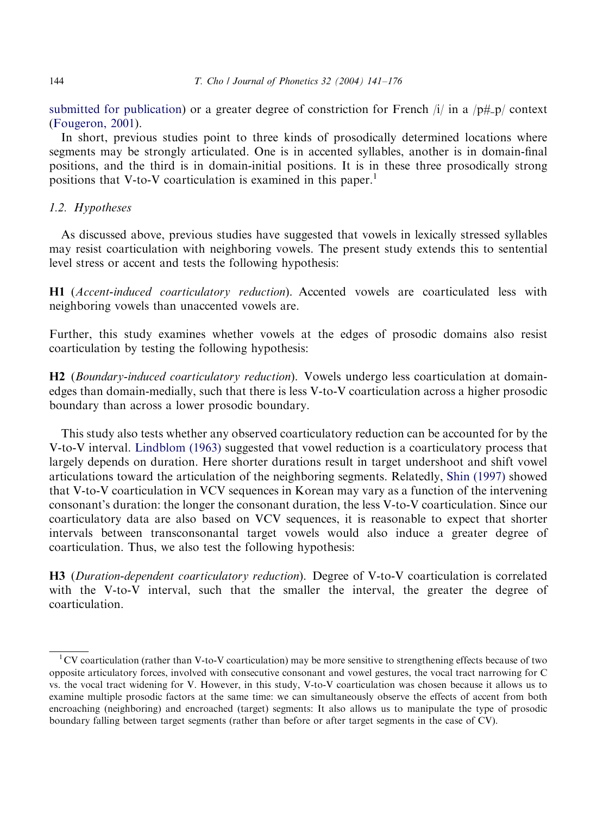# 144 T. Cho / Journal of Phonetics 32 (2004) 141–176

submitted for publication) or a greater degree of constriction for French  $|i\rangle$  in a  $|p# p\rangle$  context (Fougeron, 2001).

In short, previous studies point to three kinds of prosodically determined locations where segments may be strongly articulated. One is in accented syllables, another is in domain-final positions, and the third is in domain-initial positions. It is in these three prosodically strong positions that V-to-V coarticulation is examined in this paper.<sup>1</sup>

# 1.2. Hypotheses

As discussed above, previous studies have suggested that vowels in lexically stressed syllables may resist coarticulation with neighboring vowels. The present study extends this to sentential level stress or accent and tests the following hypothesis:

H1 (Accent-induced coarticulatory reduction). Accented vowels are coarticulated less with neighboring vowels than unaccented vowels are.

Further, this study examines whether vowels at the edges of prosodic domains also resist coarticulation by testing the following hypothesis:

H2 (Boundary-induced coarticulatory reduction). Vowels undergo less coarticulation at domainedges than dom[ain-medially, such](#page-33-0) that there is less V-to-V coarticulation across a higher prosodic boundary than across a lower prosodic boundary.

This study also tests whether any observed coarticulatory reduction can be [accounted](#page-34-0) [fo](#page-34-0)r by the V-to-V interval. Lindblom (1963) suggested that vowel reduction is a coarticulatory process that largely depends on duration. Here shorter durations result in target undershoot and shift vowel articulations toward the articulation of the neighboring segments. Relatedly, Shin (1997) showed that V-to-V coarticulation in VCV sequences in Korean may vary as a function of the intervening consonant's duration: the longer the consonant duration, the less V-to-V coarticulation. Since our coarticulatory data are also based on VCV sequences, it is reasonable to expect that shorter intervals between transconsonantal target vowels would also induce a greater degree of coarticulation. Thus, we also test the following hypothesis:

H3 (Duration-dependent coarticulatory reduction). Degree of V-to-V coarticulation is correlated with the V-to-V interval, such that the smaller the interval, the greater the degree of coarticulation.

<sup>&</sup>lt;sup>1</sup>CV coarticulation (rather than V-to-V coarticulation) may be more sensitive to strengthening effects because of two opposite articulatory forces, involved with consecutive consonant and vowel gestures, the vocal tract narrowing for C vs. the vocal tract widening for V. However, in this study, V-to-V coarticulation was chosen because it allows us to examine multiple prosodic factors at the same time: we can simultaneously observe the effects of accent from both encroaching (neighboring) and encroached (target) segments: It also allows us to manipulate the type of prosodic boundary falling between target segments (rather than before or after target segments in the case of CV).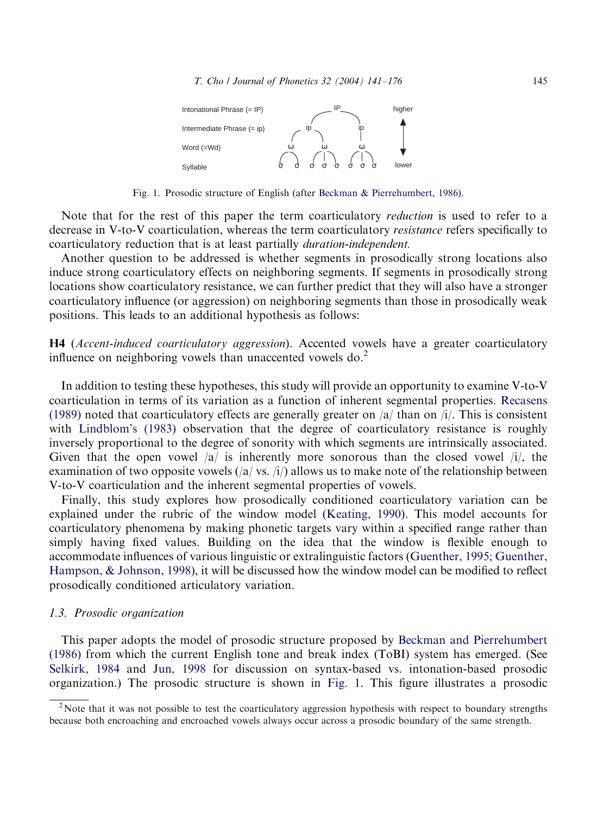

Fig. 1. Prosodic structure of English (after Beckman & Pierrehumbert, 1986).

Note that for the rest of this paper the term coarticulatory *reduction* is used to refer to a decrease in V-to-V coarticulation, whereas the term coarticulatory *resistance* refers specifically to coarticulatory reduction that is at least partially duration-independent.

Another question to be addressed is whether segments in prosodically strong locations also induce strong coarticulatory effects on neighboring segments. If segments in prosodically strong locations show coarticulatory resistance, we can further predict that they will also have a stronger coarticulatory influence (or aggression) on neighboring segments than those in prosodically weak positions. This leads to an additional hypothesis as follows:

H4 (Accent-induced coar[ticulatory](#page-34-0) aggression). Accented vowels have a greater coarticulatory [influen](#page-34-0)ce on neighboring vowels than unaccented vowels do. $2$ 

In [addition](#page-33-0) [to](#page-33-0) [testing](#page-33-0) [th](#page-33-0)ese hypotheses, this study will provide an opportunity to examine V-to-V coarticulation in terms of its variation as a function of inherent segmental properties. Recasens (1989) noted that coarticulatory effects are generally greater on  $|a|$  than on  $|i|$ . This is consistent with Lindblom's (1983) observation that the degree of coarticulatory resistance is roughly inversely proportional to the degree of sonority with which segments are intrinsically associated. Given that the open vowel  $|a|$  is inherently more [sonorous than](#page-33-0) the closed vowel  $|i|$ , the examination of two opposite vowels  $(|a| \text{ vs. } |i\rangle)$  allows us to make note of the relationship between V-to-V coarticulation and the inherent segmental properties of vowels.

Finally, this study explores how prosodically conditioned coarti[culatory variation can be](#page-33-0) [explained under the rubric](#page-33-0) of the window model (Keating, 1990). This model accounts for coarticulatory phenomena by making phonetic targets vary within a specified range rather than simply having fixed values. Building on the idea that the window is flexible enough to accommodate influences of various linguistic or extralinguistic factors (Guenther, 1995; Guenther, Hampson, & Johnson, 1998), it will be discussed how the window model can be modified to reflect prosodically conditioned articulatory variation.

# [1.3. Prosodic](#page-34-0) organi[zation](#page-33-0)

This paper adopts the model of prosodic structure proposed by Beckman and Pierrehumbert (1986) from which the current English tone and break index (ToBI) system has emerged. (See Selkirk, 1984 and Jun, 1998 for discussion on syntax-based vs. intonation-based prosodic organization.) The prosodic structure is shown in Fig. 1. This figure illustrates a prosodic

<sup>&</sup>lt;sup>2</sup>Note that it was not possible to test the coarticulatory aggression hypothesis with respect to boundary strengths because both encroaching and encroached vowels always occur across a prosodic boundary of the same strength.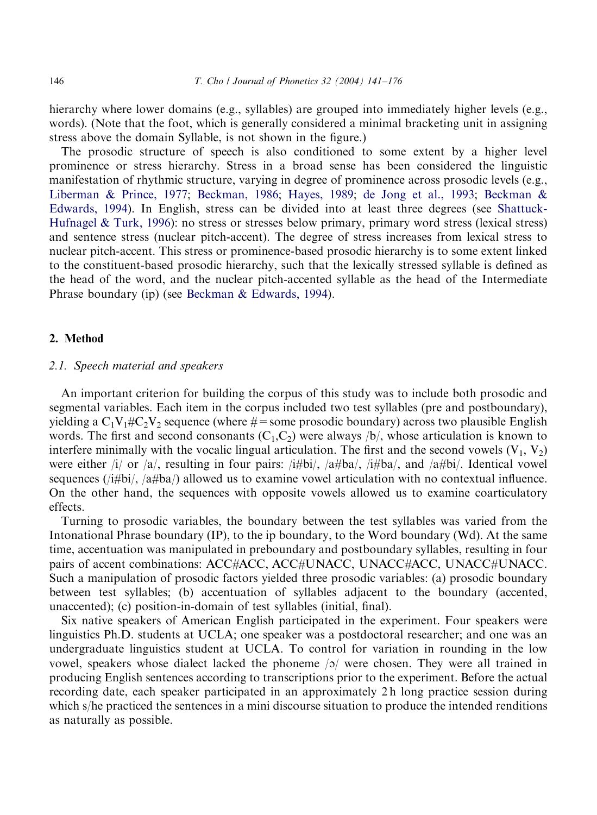#### 146 T. Cho / Journal of Phonetics 32 (2004) 141–176

hierarchy where lower domains (e.g., syllables) are grouped into immediately higher levels (e.g., words). (Note that the foot, which is generally considered a minimal bracketing unit in assigning [stress above the domain Sy](#page-33-0)l[lable, is not show](#page-32-0)[n in the figur](#page-33-0)e.)

[The prosodi](#page-32-0)c structure of speech is also conditioned [to](#page-32-0) [some](#page-32-0) [extent](#page-32-0) [by](#page-32-0) [a](#page-32-0) [hi](#page-32-0)[gher level](#page-34-0) [prominenc](#page-34-0)e [or stress h](#page-34-0)ierarchy. Stress in a broad sense has been considered the linguistic manifestation of rhythmic structure, varying in degree of prominence across prosodic levels (e.g., Liberman & Prince, 1977; Beckman, 1986; Hayes, 1989; de Jong et al., 1993; Beckman & Edwards, 1994). In English, stress can be divided into at least three degrees (see Shattuck-Hufnagel & Turk, 1996): no stress or stresses below primary, primary word stress (lexical stress) and sentence stress (nucle[ar pitch-accent\). The degree](#page-32-0) of stress increases from lexical stress to nuclear pitch-accent. This stress or prominence-based prosodic hierarchy is to some extent linked to the constituent-based prosodic hierarchy, such that the lexically stressed syllable is defined as the head of the word, and the nuclear pitch-accented syllable as the head of the Intermediate Phrase boundary (ip) (see Beckman & Edwards, 1994).

# 2. Method

#### 2.1. Speech material and speakers

An important criterion for building the corpus of this study was to include both prosodic and segmental variables. Each item in the corpus included two test syllables (pre and postboundary), yielding a  $C_1V_1\#C_2V_2$  sequence (where  $\#$  = some prosodic boundary) across two plausible English words. The first and second consonants  $(C_1, C_2)$  were always /b/, whose articulation is known to interfere minimally with the vocalic lingual articulation. The first and the second vowels  $(V_1, V_2)$ were either /i/ or /a/, resulting in four pairs: /i#bi/, /a#ba/, /i#ba/, and /a#bi/. Identical vowel sequences  $(i#bi, \{a#ba\})$  allowed us to examine vowel articulation with no contextual influence. On the other hand, the sequences with opposite vowels allowed us to examine coarticulatory effects.

Turning to prosodic variables, the boundary between the test syllables was varied from the Intonational Phrase boundary (IP), to the ip boundary, to the Word boundary (Wd). At the same time, accentuation was manipulated in preboundary and postboundary syllables, resulting in four pairs of accent combinations: ACC#ACC, ACC#UNACC, UNACC#ACC, UNACC#UNACC. Such a manipulation of prosodic factors yielded three prosodic variables: (a) prosodic boundary between test syllables; (b) accentuation of syllables adjacent to the boundary (accented, unaccented); (c) position-in-domain of test syllables (initial, final).

Six native speakers of American English participated in the experiment. Four speakers were linguistics Ph.D. students at UCLA; one speaker was a postdoctoral researcher; and one was an undergraduate linguistics student at UCLA. To control for variation in rounding in the low vowel, speakers whose dialect lacked the phoneme  $\sqrt{2}$  were chosen. They were all trained in producing English sentences according to transcriptions prior to the experiment. Before the actual recording date, each speaker participated in an approximately 2 h long practice session during which s/he practiced the sentences in a mini discourse situation to produce the intended renditions as naturally as possible.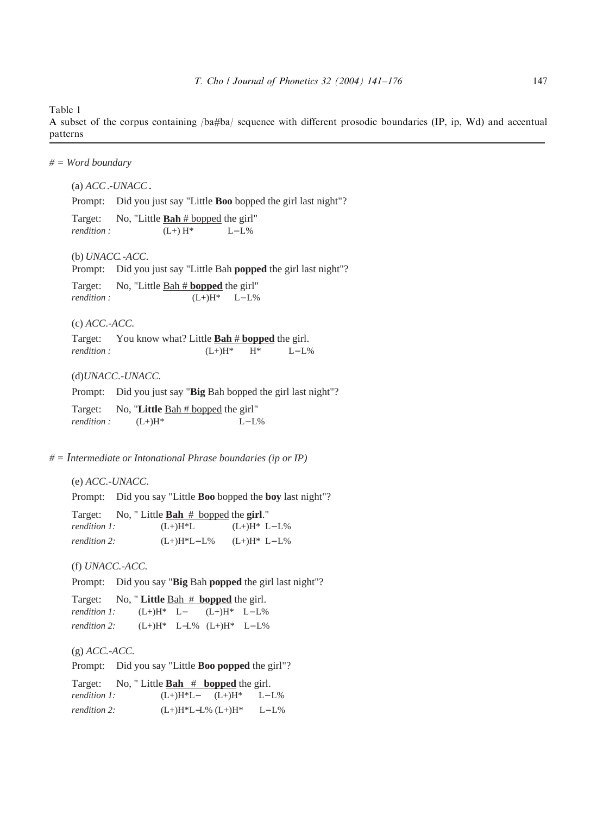<span id="page-6-0"></span>Table 1

A subset of the corpus containing /ba#ba/ sequence with different prosodic boundaries (IP, ip, Wd) and accentual patterns

# *# = Word boundary*

(a) *ACC*.*-UNACC.* Prompt: Did you just say "Little **Boo** bopped the girl last night"? Target: No, "Little **Bah** # bopped the girl" *rendition :* (L+) H<sup>\*</sup> L− L% (b) *UNACC .-ACC.* Prompt: Did you just say "Little Bah **popped** the girl last night"? Target: No, "Little Bah # **bopped** the girl" *rendition :* (L+)H<sup>\*</sup> L− L% (c) *ACC.-ACC.* Target: You know what? Little **Bah** # **bopped** the girl. *rendition :*  $(L+)H^*$  H<sup>\*</sup> L− L% (d)*UNACC.-UNACC.* Prompt: Did you just say "**Big** Bah bopped the girl last night"? Target: No, "**Little** Bah # bopped the girl"  $rendition:$   $(L+)H^*$   $L-L\%$ *# = Intermediate or Intonational Phrase boundaries (ip or IP)*  (e) *ACC.-UNACC*. Prompt: Did you say "Little **Boo** bopped the **boy** last night"? Target: No, " Little **Bah** # bopped the **girl**." *rendition 1:* (L+)H<sup>\*</sup>L (L+)H<sup>\*</sup> L− L% *rendition 2:* (L+)H<sup>\*</sup>L− L% (L+)H<sup>\*</sup> L− L% (f) *UNACC.-ACC.*  Prompt: Did you say "**Big** Bah **popped** the girl last night"? Target: No, " **Little** Bah # **bopped** the girl. *rendition 1:* (L+)H<sup>\*</sup> L− (L+)H<sup>\*</sup> L− L% *rendition 2:* (L+)H<sup>\*</sup> L−L% (L+)H<sup>\*</sup> L−L% (g) *ACC.-ACC.* Prompt: Did you say "Little **Boo popped** the girl"? Target: No, " Little **Bah** # **bopped** the girl. *rendition 1:* (L+)H<sup>\*</sup>L− (L+)H<sup>\*</sup> L− L% *rendition 2:* (L+)H<sup>\*</sup>L−L% (L+)H<sup>\*</sup> L−L%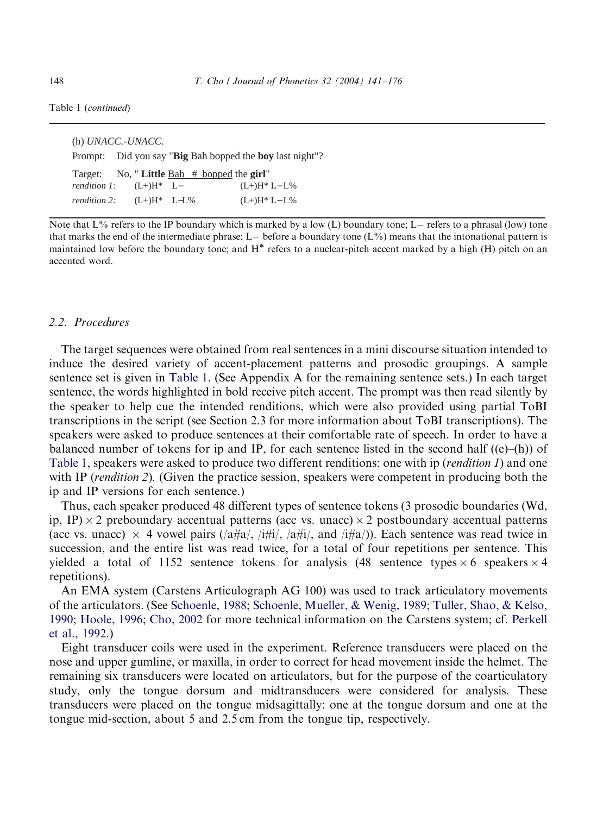Table 1 (continued)

| $(h)$ UNACC.-UNACC.         |                                                                 | Prompt: Did you say "Big Bah bopped the boy last night"? |
|-----------------------------|-----------------------------------------------------------------|----------------------------------------------------------|
|                             | Target: No, "Little $\underline{\text{Bah}}$ # bopped the girl" |                                                          |
| rendition 1: $(L+)H^*$ L-   |                                                                 | $(L+)H^*L-L%$                                            |
| rendition 2: $(L+)H^*$ L-L% |                                                                 | $(L+)H^*L-L%$                                            |

Note that  $L\%$  refers to the IP boundary which is marked by a low (L) boundary tone; L– refers to a phrasal (low) tone that marks the end of the intermediate phrase;  $L-$  before a boundary tone ( $L\%$ ) means that the intonational pattern is maintained low before the boundary tone; and  $H^*$  refers to a nuclear-pitch accent marked by a high (H) pitch on an accented word.

# 2.2. Procedures

The target sequences were obtained from real sentences in a mini discourse situation intended to induce the desired variety of accent-placement patterns and prosodic groupings. A sample sentence set is given in Table 1. (See Appendix A for the remaining sentence sets.) In each target sentence, the words highlighted in bold receive pitch accent. The prompt was then read silently by [the spea](#page-6-0)ker to help cue the intended renditions, which were also provided using partial ToBI transcriptions in the script (see Section 2.3 for more information about ToBI transcriptions). The speakers were asked to produce sentences at their comfortable rate of speech. In order to have a balanced number of tokens for ip and IP, for each sentence listed in the second half  $((e)-(h))$  of Table 1, speakers were asked to produce two different renditions: one with ip (*rendition 1*) and one with IP (*rendition 2*). (Given the practice session, speakers were competent in producing both the ip and IP versions for each sentence.)

Thus, each speaker produced 48 different types of sentence tokens (3 prosodic boundaries (Wd, ip, IP)  $\times$  2 preboundary accentual patterns (acc vs. unacc)  $\times$  2 postboundary accentual patterns (acc vs. unacc)  $\times$  4 vowel pairs (/a#a/, /i#i/, /a#i/, and /i#a/)). Each sentence was read twice in succession, and the ent[ire list was read twice, for a total](#page-34-0) o[f four repetit](#page-34-0)i[ons per sentence. This](#page-35-0) [yield](#page-35-0)e[d a total o](#page-33-0)[f 1152 sen](#page-32-0)tence tokens for analysis (48 sentence types  $\times$  6 spea[kers](#page-34-0)  $\times$  4 [repetitions\)](#page-34-0).

An EMA system (Carstens Articulograph AG 100) was used to track articulatory movements of the articulators. (See Schoenle, 1988; Schoenle, Mueller, & Wenig, 1989; Tuller, Shao, & Kelso, 1990; Hoole, 1996; Cho, 2002 for more technical information on the Carstens system; cf. Perkell et al., 1992.)

Eight transducer coils were used in the experiment. Reference transducers were placed on the nose and upper gumline, or maxilla, in order to correct for head movement inside the helmet. The remaining six transducers were located on articulators, but for the purpose of the coarticulatory study, only the tongue dorsum and midtransducers were considered for analysis. These transducers were placed on the tongue midsagittally: one at the tongue dorsum and one at the tongue mid-section, about 5 and 2.5 cm from the tongue tip, respectively.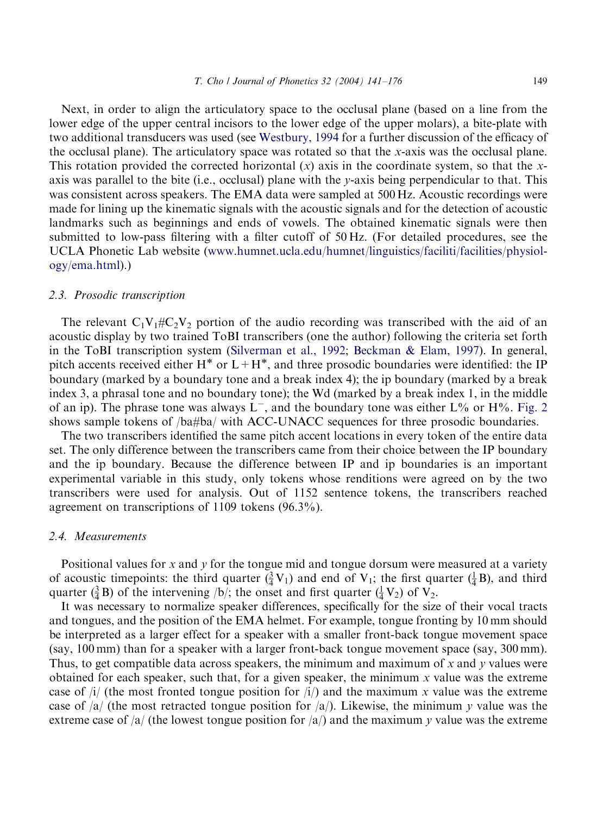Next, in order to align the articulatory space to the occlusal plane (based on a line from the lower edge of the upper central incisors to the lower edge of the upper molars), a bite-plate with two additional transducers was used (see Westbury, 1994 for a further discussion of the efficacy of the occlusal plane). The articulatory space was rotated so that the x-axis was the occlusal plane. This rotation provided the corrected horizontal  $(x)$  axis in the coordinate system, so that the xaxis was parallel to the bite (i.e., occlusal) plane with the y-axis being perpendicular to that. This was consistent across speakers. [The EMA data were sampled at 500 Hz. Acoustic recordings were](http://www.humnet.ucla.edu/humnet/linguistics/faciliti/facilities/physiology/ema.html) [made for linin](http://www.humnet.ucla.edu/humnet/linguistics/faciliti/facilities/physiology/ema.html)g up the kinematic signals with the acoustic signals and for the detection of acoustic landmarks such as beginnings and ends of vowels. The obtained kinematic signals were then submitted to low-pass filtering with a filter cutoff of 50 Hz. (For detailed procedures, see the UCLA Phonetic Lab website (www.humnet.ucla.edu/humnet/linguistics/faciliti/facilities/physiology/ema.html).)

#### 2.3. Prosodic transcription

The relevant  $C_1V_1\#C_2V_2$  portion of the audio recording was transcribed with the aid of an acoustic display by two trained ToBI transcribers (one the author) following the criteria set forth in the ToBI transcription system (Silverman et al., 1992; Beckman & Elam, 1997). In g[eneral,](#page-9-0) pitch accents received either  $H^*$  or  $L+H^*$ , and three prosodic boundaries were identified: the IP boundary (marked by a boundary tone and a break index 4); the ip boundary (marked by a break index 3, a phrasal tone and no boundary tone); the Wd (marked by a break index 1, in the middle of an ip). The phrase tone was always  $\overline{L}$ , and the boundary tone was either L% or H%. Fig. 2 shows sample tokens of /ba#ba/ with ACC-UNACC sequences for three prosodic boundaries.

The two transcribers identified the same pitch accent locations in every token of the entire data set. The only difference between the transcribers came from their choice between the IP boundary and the ip boundary. Because the difference between IP and ip boundaries is an important experimental variable in this study, only tokens whose renditions were agreed on by the two transcribers were used for analysis. Out of 1152 sentence tokens, the transcribers reached agreement on transcriptions of 1109 tokens (96.3%).

#### 2.4. Measurements

Positional values for x and y for the tongue mid and tongue dorsum were measured at a variety of acoustic timepoints: the third quarter  $(\frac{3}{4}V_1)$  and end of V<sub>1</sub>; the first quarter  $(\frac{1}{4}B)$ , and third quarter  $(\frac{3}{4}B)$  of the intervening /b/; the onset and first quarter  $(\frac{1}{4}V_2)$  of  $V_2$ .

It was necessary to normalize speaker differences, specifically for the size of their vocal tracts and tongues, and the position of the EMA helmet. For example, tongue fronting by 10 mm should be interpreted as a larger effect for a speaker with a smaller front-back tongue movement space (say, 100 mm) than for a speaker with a larger front-back tongue movement space (say, 300 mm). Thus, to get compatible data across speakers, the minimum and maximum of x and y values were obtained for each speaker, such that, for a given speaker, the minimum x value was the extreme case of  $\frac{1}{l}$  (the most fronted tongue position for  $\frac{1}{l}$ ) and the maximum x value was the extreme case of  $|a|$  (the most retracted tongue position for  $|a|$ ). Likewise, the minimum y value was the extreme case of /a/ (the lowest tongue position for /a/) and the maximum y value was the extreme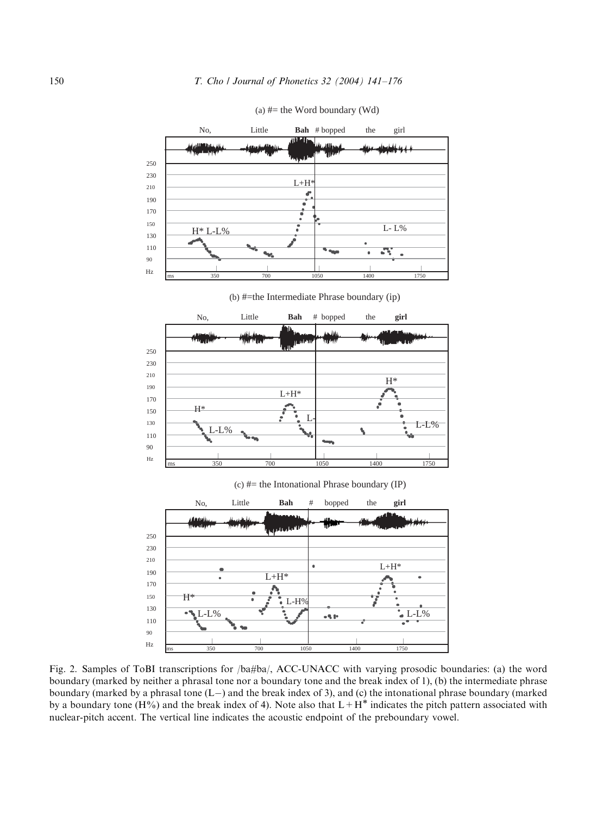<span id="page-9-0"></span>



Fig. 2. Samples of ToBI transcriptions for /ba#ba/, ACC-UNACC with varying prosodic boundaries: (a) the word boundary (marked by neither a phrasal tone nor a boundary tone and the break index of 1), (b) the intermediate phrase boundary (marked by a phrasal tone (L-) and the break index of 3), and (c) the intonational phrase boundary (marked by a boundary tone (H%) and the break index of 4). Note also that  $L+H^*$  indicates the pitch pattern associated with nuclear-pitch accent. The vertical line indicates the acoustic endpoint of the preboundary vowel.

ms 350 700 1050 1400 1750

90 110

Hz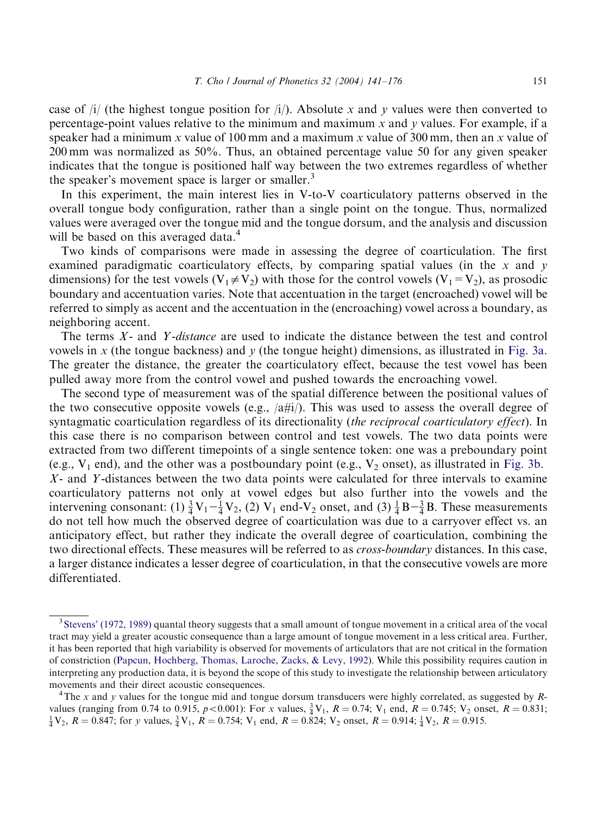case of  $\frac{1}{l}$  (the highest tongue position for  $\frac{1}{l}$ ). Absolute x and y values were then converted to percentage-point values relative to the minimum and maximum x and y values. For example, if a speaker had a minimum x value of 100 mm and a maximum x value of 300 mm, then an x value of 200 mm was normalized as 50%. Thus, an obtained percentage value 50 for any given speaker indicates that the tongue is positioned half way between the two extremes regardless of whether the speaker's movement space is larger or smaller.<sup>3</sup>

In this experiment, the main interest lies in V-to-V coarticulatory patterns observed in the overall tongue body configuration, rather than a single point on the tongue. Thus, normalized values were averaged over the tongue mid and the tongue dorsum, and the analysis and discussion will be based on this averaged data.<sup>4</sup>

Two kinds of comparisons were made in assessing the degree of coarticulation. The first examined paradigmatic coarticulatory effects, by comparing spatial values (in the  $x$  and  $y$ dimensions) for the test vowels ( $V_1 \neq V_2$ ) with those for the control vowels ( $V_1 = V_2$ ), as prosodic boundary and accentuation varies. Note that accentuation in the target (encroached) vow[el will be](#page-11-0) referred to simply as accent and the accentuation in the (encroaching) vowel across a boundary, as neighboring accent.

The terms X- and Y-distance are used to indicate the distance between the test and control vowels in x (the tongue backness) and y (the tongue height) dimensions, as illustrated in Fig. 3a. The greater the distance, the greater the coarticulatory effect, because the test vowel has been pulled away more from the control vowel and pushed towards the encroaching vowel.

The second type of measurement was of the spatial difference between the positional values of the two consecutive opposite vowels (e.g.,  $\langle a\#i\rangle$ ). This was used to assess the overall [degree o](#page-11-0)f syntagmatic coarticulation regardless of its directionality (the reciprocal coarticulatory effect). In this case there is no comparison between control and test vowels. The two data points were extracted from two different timepoints of a single sentence token: one was a preboundary point (e.g.,  $V_1$  end), and the other was a postboundary point (e.g.,  $V_2$  onset), as illustrated in Fig. 3b. X- and Y-distances between the two data points were calculated for three intervals to examine coarticulatory patterns not only at vowel edges but also further into the vowels and the intervening consonant: (1)  $\frac{3}{4}V_1 - \frac{1}{4}V_2$ , (2)  $V_1$  end-V<sub>2</sub> onset, and (3)  $\frac{1}{4}B - \frac{3}{4}B$ . These measurements do not tell how much the observed degree of coarticulation was due to a carryover effect vs. an anticipatory effect, but rather they indicate the overall degree of coarticulation, combining the two directional effects. These measures will be referred to as *cross-boundary* distances. In this case, a l[arger distance ind](#page-35-0)icates a lesser degree of coarticulation, in that the consecutive vowels are more differentiated.

 $3$  Stevens' (1972, 1989) quantal theory suggests that a small amount of tongue movement in a critical area of the vocal tract may yield a greater acoustic consequence than a large amount of tongue movement in a less critical area. Further, it has been reported that high variability is observed for movements of articulators that are not critical in the formation of constriction (Papcun, Hochberg, Thomas, Laroche, Zacks, & Levy, 1992). While this possibility requires caution in interpreting any production data, it is beyond the scope of this study to investigate the relationship between articulatory movements and their direct acoustic consequences.<br><sup>4</sup>The x and y values for the tongue mid and tongue dorsum transducers were highly correlated, as suggested by R-

values (ranging from 0.74 to 0.915,  $p < 0.001$ ): For x values,  $\frac{3}{4}V_1$ ,  $R = 0.74$ ;  $V_1$  end,  $R = 0.745$ ;  $V_2$  onset,  $R = 0.831$ ;<br> $\frac{1}{2}V_2$ ,  $R = 0.847$ ; for y values,  $\frac{3}{2}V_1$ ,  $R = 0.754$ ; V, end,  $R = 0.824$ ;  $\frac{1}{4}V_2$ ,  $R = 0.847$ ; for y values,  $\frac{3}{4}V_1$ ,  $R = 0.754$ ;  $V_1$  end,  $R = 0.824$ ;  $V_2$  onset,  $R = 0.914$ ;  $\frac{1}{4}V_2$ ,  $R = 0.915$ .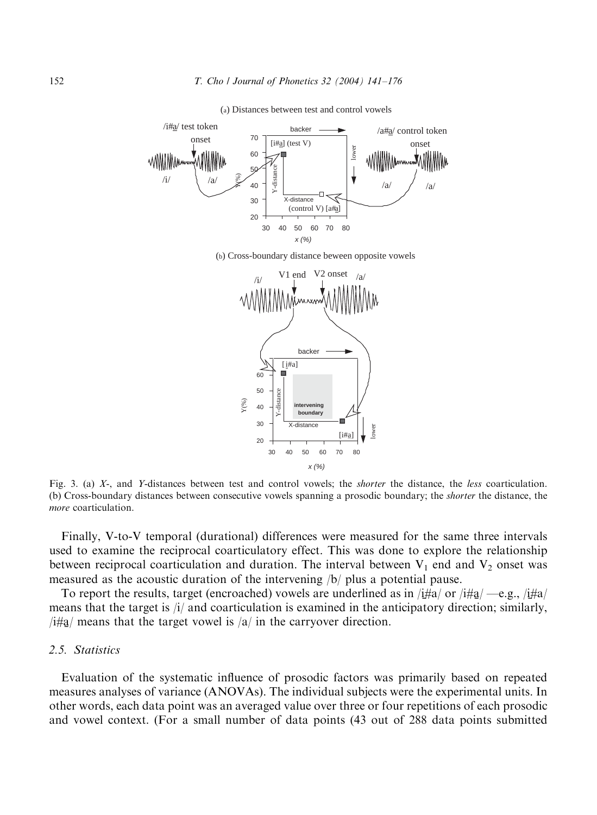<span id="page-11-0"></span>

(a) Distances between test and control vowels





Fig. 3. (a) X-, and Y-distances between test and control vowels; the *shorter* the distance, the *less* coarticulation. (b) Cross-boundary distances between consecutive vowels spanning a prosodic boundary; the shorter the distance, the more coarticulation.

Finally, V-to-V temporal (durational) differences were measured for the same three intervals used to examine the reciprocal coarticulatory effect. This was done to explore the relationship between reciprocal coarticulation and duration. The interval between  $V_1$  end and  $V_2$  onset was measured as the acoustic duration of the intervening /b/ plus a potential pause.

To report the results, target (encroached) vowels are underlined as in  $/if#a/$  or  $/if#a/$ —e.g.,  $/if#a/$ <br>reaps that the target is  $/if$  and coarticulation is examined in the anticipatory direction; similarly means that the target is /i/ and coarticulation is examined in the anticipatory direction; similarly, /i# $a$ / means that the target vowel is /a/ in the carryover direction.

# 2.5. Statistics

Evaluation of the systematic influence of prosodic factors was primarily based on repeated measures analyses of variance (ANOVAs). The individual subjects were the experimental units. In other words, each data point was an averaged value over three or four repetitions of each prosodic and vowel context. (For a small number of data points (43 out of 288 data points submitted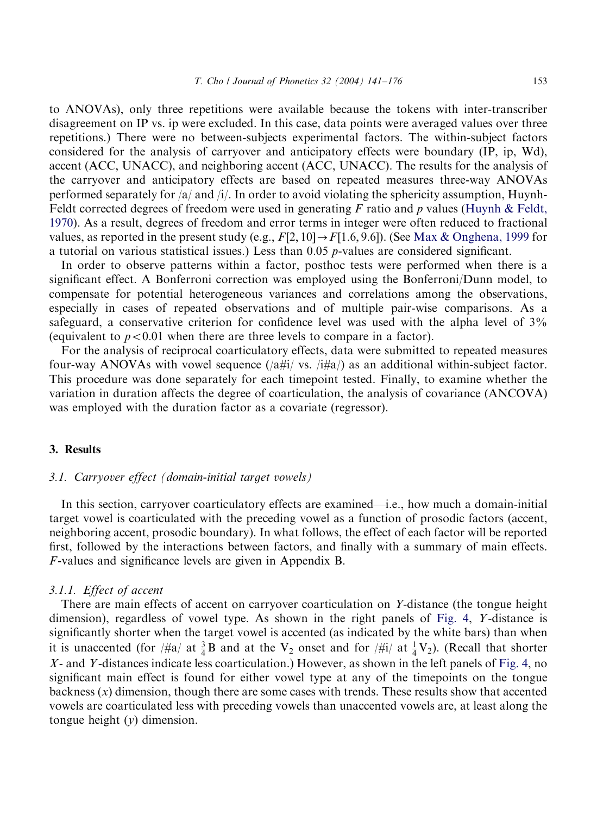to ANOVAs), only three repetitions were available because the tokens with inter-transcriber disagreement on IP vs. ip were excluded. In this case, data points were averaged values over three repetitions.) There were no between-subjects experimental factors. The within-subject factors considered for the analysis of carryover and anticipatory effects were bounda[ry \(IP, i](#page-33-0)p[, Wd\),](#page-33-0) [accen](#page-33-0)t (ACC, UNACC), and neighboring accent (ACC, UNACC). The results for the analysis of the carryover and anticipatory effects are based on repeated meas[ures three-way ANOV](#page-34-0)As performed separately for  $\frac{\alpha}{\alpha}$  and  $\frac{\dot{\beta}}{\gamma}$ . In order to avoid violating the sphericity assumption, Huynh-Feldt corrected degrees of freedom were used in generating F ratio and p values (Huynh & Feldt, 1970). As a result, degrees of freedom and error terms in integer were often reduced to fractional values, as reported in the present study (e.g.,  $F[2, 10] \rightarrow F[1.6, 9.6]$ ). (See Max & Onghena, 1999 for a tutorial on various statistical issues.) Less than  $0.05$  *p*-values are considered significant.

In order to observe patterns within a factor, posthoc tests were performed when there is a significant effect. A Bonferroni correction was employed using the Bonferroni/Dunn model, to compensate for potential heterogeneous variances and correlations among the observations, especially in cases of repeated observations and of multiple pair-wise comparisons. As a safeguard, a conservative criterion for confidence level was used with the alpha level of 3% (equivalent to  $p < 0.01$  when there are three levels to compare in a factor).

For the analysis of reciprocal coarticulatory effects, data were submitted to repeated measures four-way ANOVAs with vowel sequence  $\left(\frac{\partial H}{\partial t}\right)$  vs.  $\left(\frac{H}{d}a\right)$  as an additional within-subject factor. This procedure was done separately for each timepoint tested. Finally, to examine whether the variation in duration affects the degree of coarticulation, the analysis of covariance (ANCOVA) was employed with the duration factor as a covariate (regressor).

#### 3. Results

# 3.1. Carryover effect (domain-initial target vowels)

In this section, carryover coarticulatory effects are examined—i.e., how much a domain-initial target vowel is coarticulated with the preceding vowel as a function of prosodic factors (accent, neighboring accent, prosodic boundary). In what follows, the effect of each factor will be reported first, followed by the interactions between factors, and finally with a summary of main effects. F-values and significance levels are given in Appendix B.

# 3.1.1. Effect of accent

There are main effects of accent on carryover coarticulation on Y-distance (the ton[gue hei](#page-13-0)ght dimension), regardless of vowel type. As shown in the right panels of Fig. 4, Y-distance is significantly shorter when the target vowel is accented (as indicated by the white bars) than when it is unaccented (for  $/#a/$  at  $\frac{3}{4}B$  and at the V<sub>2</sub> onset and for  $/#i/$  at  $\frac{1}{4}V_2$ ). (Recall that shorter X- and Y-distances indicate less coarticulation.) However, as shown in the left panels of Fig. 4, no significant main effect is found for either vowel type at any of the timepoints on the tongue backness  $(x)$  dimension, though there are some cases with trends. These results show that accented vowels are coarticulated less with preceding vowels than unaccented vowels are, at least along the tongue height  $(y)$  dimension.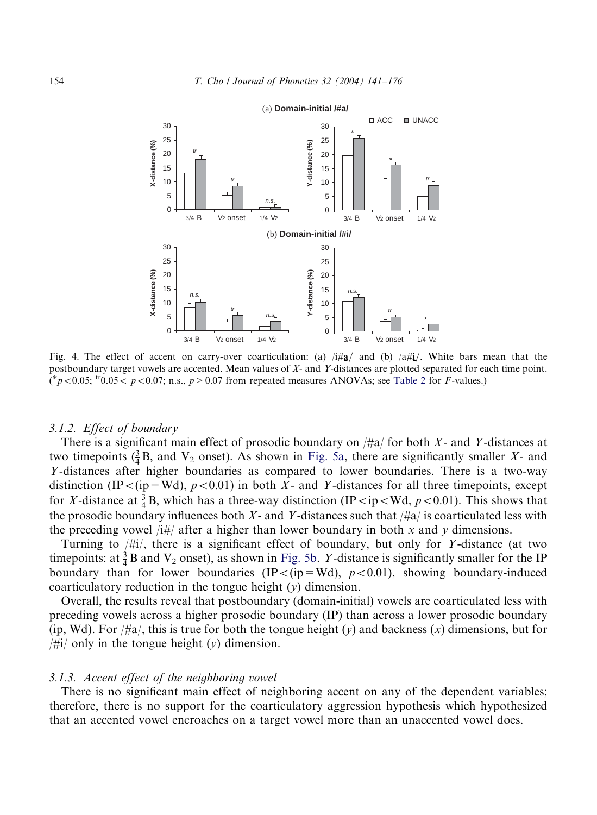<span id="page-13-0"></span>

Fig. 4. The effect of accent on carry-over coarticulation: (a)  $/$ i# $\mathbf{a}/$  and (b)  $/$ a# $\mathbf{i}/$ . White bars mean that the position of  $V$  and  $V$  distances are plotted separated for each time point. postboundary target vowels are accented. Mean values of X- and Y-distances are plotted separated for each time point.  $({}^{*}p<0.05;$   ${}^{tr}0.05 < p<0.07;$  n.s.,  $p > 0.07$  from repeated measures ANOVAs; see Table 2 for *F*-values.)

#### 3.1.2. Effect of boundary

There is a significant main effect of prosodic boundary on  $/\text{H}a$  for both X- and Y-distances at two timepoints  $(\frac{3}{4}B,$  and  $V_2$  onset). As shown in Fig. 5a, there are significantly smaller X- and Y-distances after higher boundaries as compared to lower boundaries. There is a two-way distinction (IP $\langle$ (ip=Wd), p $\langle$ 0.01) in both X- and Y-distances for all three timepoints, except for X-distance at  $\frac{3}{4}$ B, which has a three-way [distinct](#page-14-0)ion (IP<ip<Wd, p<0.01). This shows that the prosodic boundary influences both X- and Y-distances such that  $/\frac{1}{4}a$  is coarticulated less with the preceding vowel  $\left| i \right|$  after a higher than lower boundary in both x and y dimensions.

Turning to  $/\frac{1}{2}i$ , there is a significant effect of boundary, but only for Y-distance (at two timepoints: at  $\frac{3}{4}$ B and V<sub>2</sub> onset), as shown in Fig. 5b. Y-distance is significantly smaller for the IP boundary than for lower boundaries (IP $\lt (ip=Wd)$ , p $\lt 0.01$ ), showing boundary-induced coarticulatory reduction in the tongue height  $(y)$  dimension.

Overall, the results reveal that postboundary (domain-initial) vowels are coarticulated less with preceding vowels across a higher prosodic boundary (IP) than across a lower prosodic boundary (ip, Wd). For  $/\frac{H}{4}a$ , this is true for both the tongue height (y) and backness (x) dimensions, but for  $/\#i/$  only in the tongue height  $(y)$  dimension.

#### 3.1.3. Accent effect of the neighboring vowel

There is no significant main effect of neighboring accent on any of the dependent variables; therefore, there is no support for the coarticulatory aggression hypothesis which hypothesized that an accented vowel encroaches on a target vowel more than an unaccented vowel does.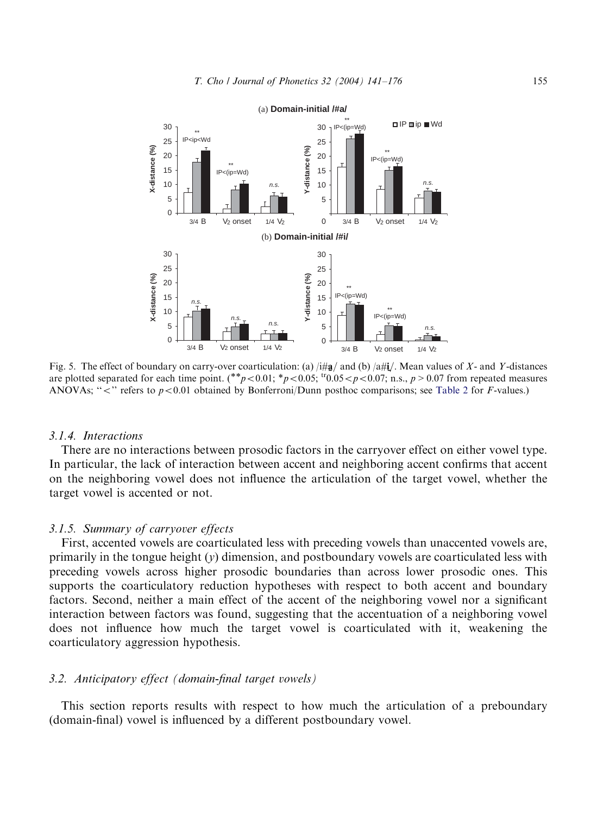<span id="page-14-0"></span>

Fig. 5. The effect of boundary on carry-over coarticulation: (a)  $/4\pi/$  and (b)  $/4\pi/$ . Mean values of X- and Y-distances are plotted separated for each time point. (\*\*p < 0.01; \*p < 0.05; <sup>tr</sup>0.05 < p < 0.07; n.s., p > 0.07 from repeated measures ANOVAs; " $\lt$ " refers to p $\lt$ 0.01 obtained by Bonferroni/Dunn posthoc comparisons; see Table 2 for F-values.)

#### 3.1.4. Interactions

There are no interactions between prosodic factors in the carryover effect on either vowel type. In particular, the lack of interaction between accent and neighboring accent confirms that accent on the neighboring vowel does not influence the articulation of the target vowel, whether the target vowel is accented or not.

## 3.1.5. Summary of carryover effects

First, accented vowels are coarticulated less with preceding vowels than unaccented vowels are, primarily in the tongue height  $(y)$  dimension, and postboundary vowels are coarticulated less with preceding vowels across higher prosodic boundaries than across lower prosodic ones. This supports the coarticulatory reduction hypotheses with respect to both accent and boundary factors. Second, neither a main effect of the accent of the neighboring vowel nor a significant interaction between factors was found, suggesting that the accentuation of a neighboring vowel does not influence how much the target vowel is coarticulated with it, weakening the coarticulatory aggression hypothesis.

# 3.2. Anticipatory effect (domain-final target vowels)

This section reports results with respect to how much the articulation of a preboundary (domain-final) vowel is influenced by a different postboundary vowel.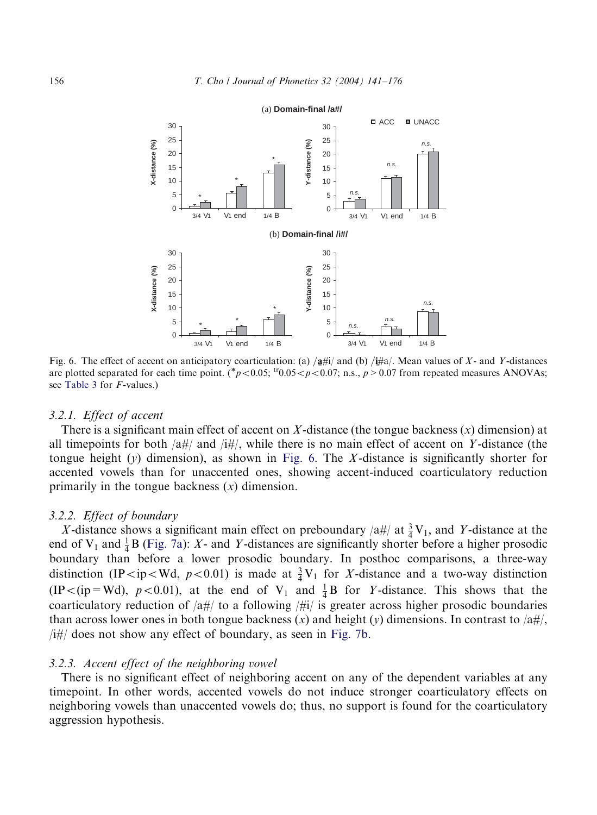

Fig. 6. The effect of accent on anticipatory coarticulation: (a)  $\frac{\partial \hat{H}}{\partial x}$  and (b)  $\frac{\partial \hat{H}}{\partial y}$ . Mean values of X- and Y-distances are plotted separated for each time point. (\* $p < 0.05$ ;  $\frac{W(0.05 < p < 0.07; \text{ n.s.}, p > 0.07 \text{ from repeated measures ANOVAs};$ ) see Table 3 for F-values.)

# 3.2.1. Effect of accent

There is a significant main effect of accent on X-distance (the tongue backness  $(x)$  dimension) at all timepoints for both  $a\#/$  and  $i\#/$ , while there is no main effect of accent on Y-distance (the tongue height (y) dimension), as shown in Fig. 6. The X-distance is significantly shorter for accented vowels than for unaccented ones, showing accent-induced coarticulatory reduction primarily in the to[ngue ba](#page-16-0)ckness  $(x)$  dimension.

#### 3.2.2. Effect of boundary

X-distance shows a significant main effect on preboundary /a#/ at  $\frac{3}{4}$ V<sub>1</sub>, and Y-distance at the end of  $V_1$  and  $\frac{1}{4}B$  (Fig. 7a): X- and Y-distances are significantly shorter before a higher prosodic boundary than before a lower prosodic boundary. In posthoc comparisons, a three-way distinction (IP<ip<Wd,  $p < 0.01$ ) is made at  $\frac{3}{4}V_1$  for X[-di](#page-16-0)stance and a two-way distinction  $(IP < (ip = Wd)$ ,  $p < 0.01$ ), at the end of  $V_1$  and  $\frac{1}{4}B$  for Y-distance. This shows that the coarticulatory reduction of  $|a\#|$  to a following  $|\#i\rangle$  is greater across higher prosodic boundaries than across lower ones in both tongue backness (x) and height (y) dimensions. In contrast to  $\frac{\text{adj}}{\text{adj}}$ ,  $\frac{1}{H}$  does not show any effect of boundary, as seen in Fig. 7b.

#### 3.2.3. Accent effect of the neighboring vowel

There is no significant effect of neighboring accent on any of the dependent variables at any timepoint. In other words, accented vowels do not induce stronger coarticulatory effects on neighboring vowels than unaccented vowels do; thus, no support is found for the coarticulatory aggression hypothesis.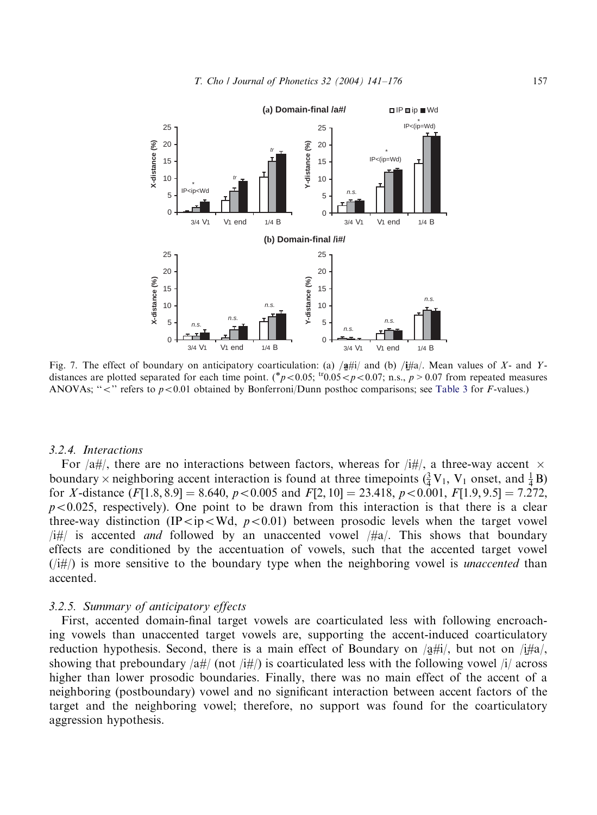<span id="page-16-0"></span>

Fig. 7. The effect of boundary on anticipatory coarticulation: (a)  $/|\mathbf{a}||$  and (b)  $/|\mathbf{a}|$ . Mean values of X- and Ydistances are plotted separated for each time point. (\* $p < 0.05$ ;  $\text{tr}_{0.05} < p < 0.07$ ; n.s.,  $p > 0.07$  from repeated measures ANOVAs; " $\lt$ " refers to p $\lt$ 0.01 obtained by Bonferroni/Dunn posthoc comparisons; see Table 3 for F-values.)

#### 3.2.4. Interactions

For  $\alpha$  /a#/, there are no interactions between factors, whereas for  $\alpha$  /i#/, a three-way accent  $\times$ boundary  $\times$  neighboring accent interaction is found at three timepoints  $(\frac{3}{4}V_1, V_1$  onset, and  $\frac{1}{4}B)$ for X-distance  $(F[1.8, 8.9] = 8.640, p < 0.005$  and  $F[2, 10] = 23.418, p < 0.001, F[1.9, 9.5] = 7.272$ ,  $p<0.025$ , respectively). One point to be drawn from this interaction is that there is a clear three-way distinction (IP $\langle \text{ip} \langle \text{Wd}, p \langle 0.01 \rangle \rangle$  between prosodic levels when the target vowel  $\left| \frac{\partial u}{\partial t} \right|$  is accented *and* followed by an unaccented vowel  $\left| \frac{\partial u}{\partial t} \right|$ . This shows that boundary effects are conditioned by the accentuation of vowels, such that the accented target vowel  $(|i#|)$  is more sensitive to the boundary type when the neighboring vowel is *unaccented* than accented.

#### 3.2.5. Summary of anticipatory effects

First, accented domain-final target vowels are coarticulated less with following encroaching vowels than unaccented target vowels are, supporting the accent-induced coarticulatory reduction hypothesis. Second, there is a main effect of Boundary on  $/4\#i/$ , but not on  $/4\#a/$ , showing that preboundary  $/4\#i/$  not  $/4\#i/$  is coarticulated less with the following yowel  $/4$  across showing that preboundary  $\frac{\text{diff}}{\text{diff}}$  (not  $\frac{\text{diff}}{\text{diff}}$ ) is coarticulated less with the following vowel  $\frac{\text{diff}}{\text{diff}}$  across higher than lower prosodic boundaries. Finally, there was no main effect of the accent of a neighboring (postboundary) vowel and no significant interaction between accent factors of the target and the neighboring vowel; therefore, no support was found for the coarticulatory aggression hypothesis.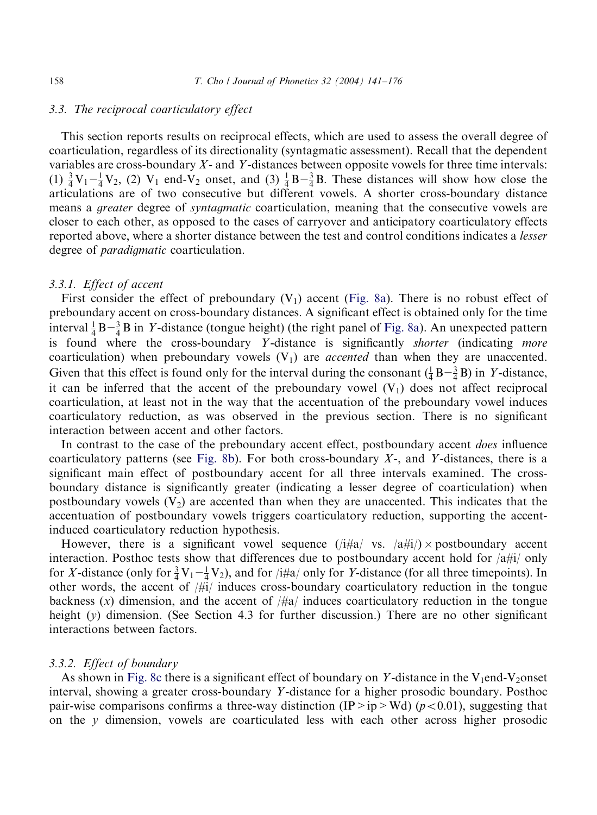# 3.3. The reciprocal coarticulatory effect

This section reports results on reciprocal effects, which are used to assess the overall degree of coarticulation, regardless of its directionality (syntagmatic assessment). Recall that the dependent variables are cross-boundary  $X$ - and  $Y$ -distances between opposite vowels for three time intervals: (1)  $\frac{3}{4}V_1 - \frac{1}{4}V_2$ , (2)  $V_1$  end-V<sub>2</sub> onset, and (3)  $\frac{1}{4}B - \frac{3}{4}B$ . These distances will show how close the articulations are of two consecutive but different vowels. A shorter cross-boundary distance means a *greater* degree of *syntagmatic* coarticulation, meaning that the consecutive vowels are closer to each other, as opposed to the cases of carryover and anticipatory coarticulatory effects reported above, where a shorter distance between the test [and cont](#page-18-0)rol conditions indicates a *lesser* degree of *paradigmatic* coarticulation.

#### 3.3.1. Effect of accent

First consider the effect of preboundary  $(V_1)$  accent (Fig. 8a). There is no robust effect of preboundary accent on cross-boundary distances. A significant effect is obtained only for the time interval  $\frac{1}{4}B-\frac{3}{4}B$  in Y-distance (tongue height) (the right panel of Fig. 8a). An unexpected pattern is found where the cross-boundary Y-distance is significantly shorter (indicating more coarticulation) when preboundary vowels  $(V_1)$  are *accented* than when they are unaccented. Given that this effect is found only for the interval during the consonant  $(\frac{1}{4}B - \frac{3}{4}B)$  in Y-distance, it can be inferred that the accent of the preboundary vowel  $(V_1)$  does not affect reciprocal coarticulation, at least not i[n the w](#page-18-0)ay that the accentuation of the preboundary vowel induces coarticulatory reduction, as was observed in the previous section. There is no significant interaction between accent and other factors.

In contrast to the case of the preboundary accent effect, postboundary accent *does* influence coarticulatory patterns (see Fig. 8b). For both cross-boundary  $X<sub>z</sub>$ , and Y-distances, there is a significant main effect of postboundary accent for all three intervals examined. The crossboundary distance is significantly greater (indicating a lesser degree of coarticulation) when postboundary vowels  $(V_2)$  are accented than when they are unaccented. This indicates that the accentuation of postboundary vowels triggers coarticulatory reduction, supporting the accentinduced coarticulatory reduction hypothesis.

However, there is a significant vowel sequence  $(|i#a| \text{ vs. } |a#i|) \times \text{postboundary accent}$ interaction. Posthoc tests show that differences due to postboundary accent hold for  $\frac{\dot{a}\mu i}{\text{only}}$ for X-distance (only for  $\frac{3}{4}V_1 - \frac{1}{4}V_2$ ), and for /i#a/ only for Y-distance (for all three timepoints). In other words, the accent of  $\frac{1}{4}i$  induces cross-boundary coarticulatory reduction in the tongue backness  $(x)$  dimension, and the accent of  $/\#a/$  induces coarticulatory reduction in the tongue height  $(y)$  dimension. (See Section 4.3 for further discussion.) There are no other significant interactions be[tween](#page-18-0) [f](#page-18-0)actors.

### 3.3.2. Effect of boundary

As shown in Fig. 8c there is a significant effect of boundary on Y-distance in the  $V_1$ end-V<sub>2</sub>onset interval, showing a greater cross-boundary Y-distance for a higher prosodic boundary. Posthoc pair-wise comparisons confirms a three-way distinction (IP>ip>Wd) ( $p$ <0.01), suggesting that on the  $\gamma$  dimension, vowels are coarticulated less with each other across higher prosodic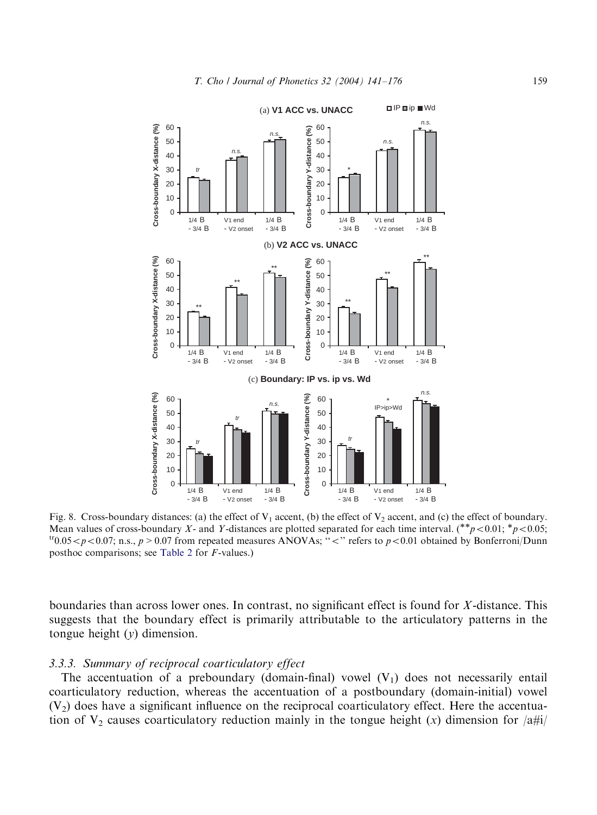<span id="page-18-0"></span>

Fig. 8. Cross-boundary distances: (a) the effect of  $V_1$  accent, (b) the effect of  $V_2$  accent, and (c) the effect of boundary.<br>Mean values of cross-boundary X- and Y-distances are plotted separated for each time interv  $M<sup>tr</sup>0.05 < p < 0.07$ ; n.s.,  $p > 0.07$  from repeated measures ANOVAs; " $\lt$ " refers to  $p < 0.01$  obtained by Bonferroni/Dunn posthoc comparisons; see Table 2 for F-values.)

boundaries than across lower ones. In contrast, no significant effect is found for X-distance. This suggests that the boundary effect is primarily attributable to the articulatory patterns in the tongue height  $(y)$  dimension.

### 3.3.3. Summary of reciprocal coarticulatory effect

The accentuation of a preboundary (domain-final) vowel  $(V_1)$  does not necessarily entail coarticulatory reduction, whereas the accentuation of a postboundary (domain-initial) vowel  $(V<sub>2</sub>)$  does have a significant influence on the reciprocal coarticulatory effect. Here the accentuation of  $V_2$  causes coarticulatory reduction mainly in the tongue height (x) dimension for  $\frac{a}{ii}$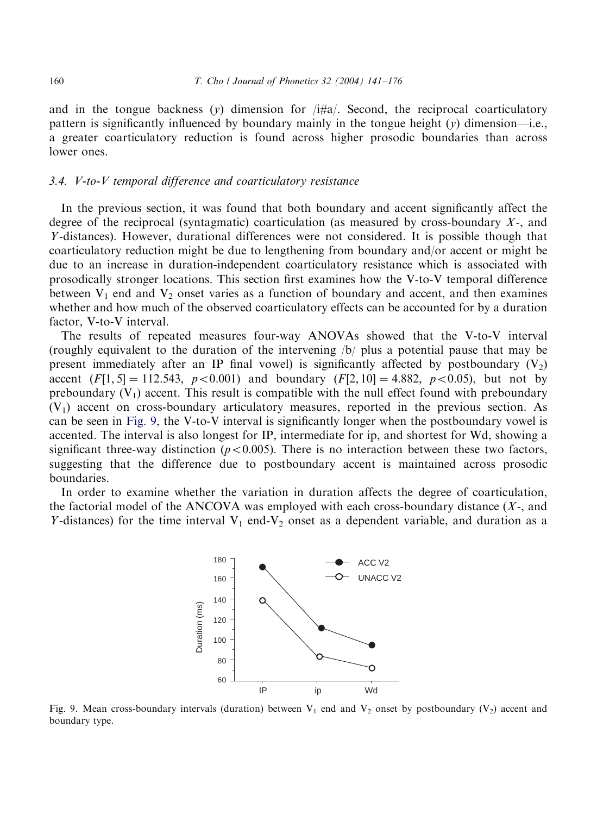#### 160 T. Cho / Journal of Phonetics 32 (2004) 141–176

and in the tongue backness (y) dimension for  $/||\hat{x}||$ . Second, the reciprocal coarticulatory pattern is significantly influenced by boundary mainly in the tongue height  $(y)$  dimension—i.e., a greater coarticulatory reduction is found across higher prosodic boundaries than across lower ones.

# 3.4. V-to-V temporal difference and coarticulatory resistance

In the previous section, it was found that both boundary and accent significantly affect the degree of the reciprocal (syntagmatic) coarticulation (as measured by cross-boundary  $X<sub>z</sub>$ , and Y-distances). However, durational differences were not considered. It is possible though that coarticulatory reduction might be due to lengthening from boundary and/or accent or might be due to an increase in duration-independent coarticulatory resistance which is associated with prosodically stronger locations. This section first examines how the V-to-V temporal difference between  $V_1$  end and  $V_2$  onset varies as a function of boundary and accent, and then examines whether and how much of the observed coarticulatory effects can be accounted for by a duration factor, V-to-V interval.

The results of repeated measures four-way ANOVAs showed that the V-to-V interval (roughly equivalent to the duration of the intervening /b/ plus a potential pause that may be present immediately after an IP final vowel) is significantly affected by postboundary  $(V_2)$ accent  $(F[1, 5] = 112.543, p < 0.001)$  and boundary  $(F[2, 10] = 4.882, p < 0.05)$ , but not by preboundary  $(V_1)$  accent. This result is compatible with the null effect found with preboundary  $(V_1)$  accent on cross-boundary articulatory measures, reported in the previous section. As can be seen in Fig. 9, the V-to-V interval is significantly longer when the postboundary vowel is accented. The interval is also longest for IP, intermediate for ip, and shortest for Wd, showing a significant three-way distinction ( $p < 0.005$ ). There is no interaction between these two factors, suggesting that the difference due to postboundary accent is maintained across prosodic boundaries.

In order to examine whether the variation in duration affects the degree of coarticulation, the factorial model of the ANCOVA was employed with each cross-boundary distance  $(X<sub>z</sub>$ , and Y-distances) for the time interval  $V_1$  end- $V_2$  onset as a dependent variable, and duration as a



Fig. 9. Mean cross-boundary intervals (duration) between  $V_1$  end and  $V_2$  onset by postboundary ( $V_2$ ) accent and boundary type.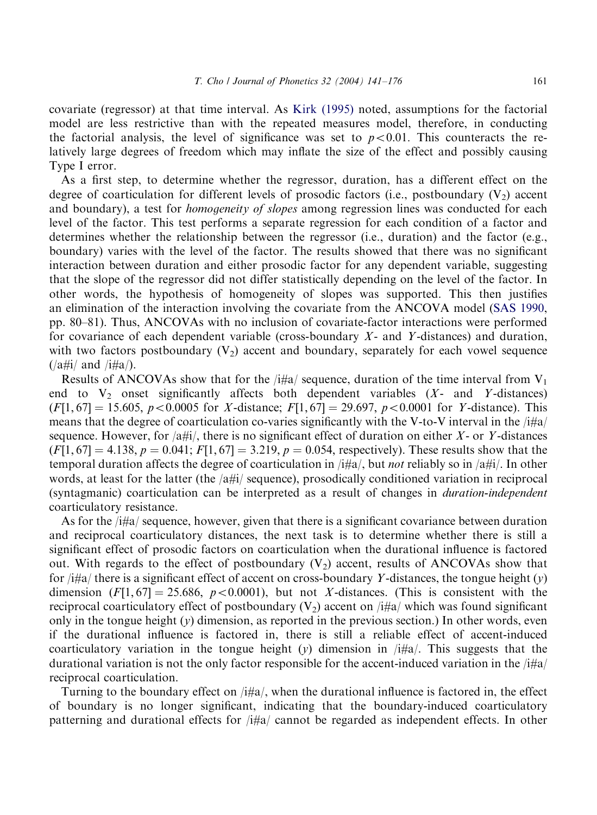covariate (regressor) at that time interval. As Kirk (1995) noted, assumptions for the factorial model are less restrictive than with the repeated measures model, therefore, in conducting the factorial analysis, the level of significance was set to  $p < 0.01$ . This counteracts the relatively large degrees of freedom which may inflate the size of the effect and possibly causing Type I error.

As a first step, to determine whether the regressor, duration, has a different effect on the degree of coarticulation for different levels of prosodic factors (i.e., postboundary  $(V_2)$ ) accent and boundary), a test for *homogeneity of slopes* among regression lines was conducted for each level of the factor. This test performs a separate regression for each condition of a factor and determines whether the relationship between the regressor (i.e., duration) and the factor (e.g., boundary) varies with the level of the factor. The results showed that there was no [significant](#page-34-0) interaction between duration and either prosodic factor for any dependent variable, suggesting that the slope of the regressor did not differ statistically depending on the level of the factor. In other words, the hypothesis of homogeneity of slopes was supported. This then justifies an elimination of the interaction involving the covariate from the ANCOVA model (SAS 1990, pp. 80–81). Thus, ANCOVAs with no inclusion of covariate-factor interactions were performed for covariance of each dependent variable (cross-boundary  $X$ - and  $Y$ -distances) and duration, with two factors postboundary  $(V_2)$  accent and boundary, separately for each vowel sequence  $(|a\#i/$  and  $/i\#a/$ ).

Results of ANCOVAs show that for the  $/i\#a$  sequence, duration of the time interval from  $V_1$ end to  $V_2$  onset significantly affects both dependent variables  $(X-$  and Y-distances)  $(F[1, 67] = 15.605, p < 0.0005$  for X-distance;  $F[1, 67] = 29.697, p < 0.0001$  for Y-distance). This means that the degree of coarticulation co-varies significantly with the V-to-V interval in the  $/i\#a/$ sequence. However, for  $\left|a\#i\right|$ , there is no significant effect of duration on either X- or Y-distances  $(F[1, 67] = 4.138, p = 0.041; F[1, 67] = 3.219, p = 0.054$ , respectively). These results show that the temporal duration affects the degree of coarticulation in  $/i\#a/$ , but *not* reliably so in  $/a\#i/$ . In other words, at least for the latter (the  $\langle a\#i\rangle$  sequence), prosodically conditioned variation in reciprocal (syntagmanic) coarticulation can be interpreted as a result of changes in *duration-independent* coarticulatory resistance.

As for the  $/i\#a$  sequence, however, given that there is a significant covariance between duration and reciprocal coarticulatory distances, the next task is to determine whether there is still a significant effect of prosodic factors on coarticulation when the durational influence is factored out. With regards to the effect of postboundary  $(V_2)$  accent, results of ANCOVAs show that for  $/i\#a$  there is a significant effect of accent on cross-boundary Y-distances, the tongue height  $(y)$ dimension  $(F[1, 67] = 25.686, p < 0.0001)$ , but not X-distances. (This is consistent with the reciprocal coarticulatory effect of postboundary  $(V_2)$  accent on /i#a/ which was found significant only in the tongue height  $(y)$  dimension, as reported in the previous section.) In other words, even if the durational influence is factored in, there is still a reliable effect of accent-induced coarticulatory variation in the tongue height (y) dimension in  $/i\#a/$ . This suggests that the durational variation is not the only factor responsible for the accent-induced variation in the  $/i\#a$ reciprocal coarticulation.

Turning to the boundary effect on /i#a/, when the durational influence is factored in, the effect of boundary is no longer significant, indicating that the boundary-induced coarticulatory patterning and durational effects for /i#a/ cannot be regarded as independent effects. In other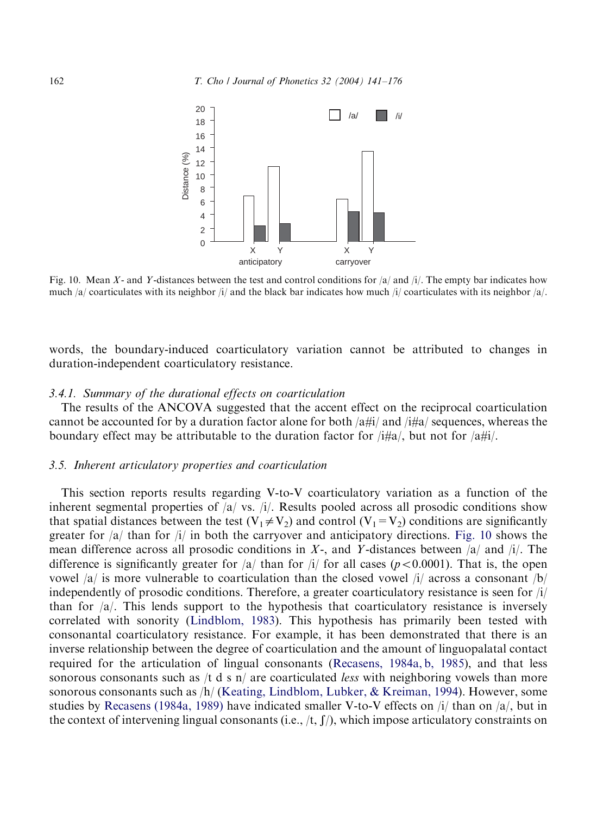

Fig. 10. Mean X- and Y-distances between the test and control conditions for  $|a|$  and  $|i|$ . The empty bar indicates how much /a/ coarticulates with its neighbor /i/ and the black bar indicates how much /i/ coarticulates with its neighbor /a/.

words, the boundary-induced coarticulatory variation cannot be attributed to changes in duration-independent coarticulatory resistance.

#### 3.4.1. Summary of the durational effects on coarticulation

The results of the ANCOVA suggested that the accent effect on the reciprocal coarticulation cannot be accounted for by a duration factor alone for both  $\langle a\ddot{\mu}a \rangle$  and  $\langle i\ddot{\mu}a \rangle$  sequences, whereas the boundary effect may be attributable to the duration factor for  $/i\#a/$ , but not for  $/a\#i/$ .

#### 3.5. Inherent articulatory properties and coarticulation

This section reports results regarding V-to-V coarticulatory variation as a function of the inherent segmental properties of  $|a|$  vs.  $|i|$ . Results pooled across all prosodic conditions show that spatial distances between the test  $(V_1 \neq V_2)$  and control  $(V_1 = V_2)$  conditions are significantly greater for  $\frac{a}{1}$  than for  $\frac{b}{1}$  in both the carryover and anticipatory directions. Fig. 10 shows the mean difference across all prosodic conditions in  $X$ -, and Y-distances between  $|a|$  and  $|i|$ . The difference is significantly g[reater for /a/ tha](#page-33-0)n for /i/ for all cases ( $p < 0.0001$ ). That is, the open vowel  $|a|$  is more vulnerable to coarticulation than the closed vowel  $|i|$  across a consonant  $|b|$ independently of prosodic conditions. Therefore, a greater coarticulatory resistance is seen for  $\frac{i}{i}$ than for  $|a|$ . This lends support to the hypothesis [that coarticulatory resista](#page-34-0)nce is inversely correlated with sonority (Lindblom, 1983). This hypothesis has primarily been tested with consonantal coarticulatory resist[ance. For example, it has be](#page-33-0)e[n demonstrated](#page-33-0) that there is an inverse rel[ationship between the de](#page-34-0)gree of coarticulation and the amount of linguopalatal contact required for the articulation of lingual consonants (Recasens, 1984a, b, 1985), and that less sonorous consonants such as /t d s  $n/$  are coarticulated *less* with neighboring vowels than more sonorous consonants such as  $\frac{h}{K}$  (Keating, Lindblom, Lubker, & Kreiman, 1994). However, some studies by Recasens (1984a, 1989) have indicated smaller V-to-V effects on /i/ than on /a/, but in the context of intervening lingual consonants (i.e.,  $/t$ ,  $f$ ), which impose articulatory constraints on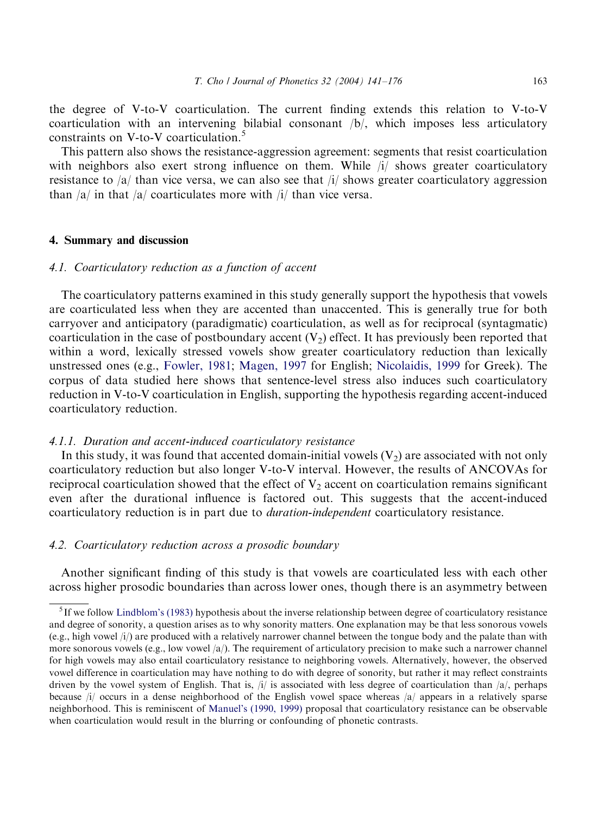the degree of V-to-V coarticulation. The current finding extends this relation to V-to-V coarticulation with an intervening bilabial consonant /b/, which imposes less articulatory constraints on V-to-V coarticulation.<sup>5</sup>

This pattern also shows the resistance-aggression agreement: segments that resist coarticulation with neighbors also exert strong influence on them. While  $|i\rangle$  shows greater coarticulatory resistance to  $|a|$  than vice versa, we can also see that  $|i|$  shows greater coarticulatory aggression than  $|a|$  in that  $|a|$  coarticulates more with  $|i|$  than vice versa.

#### 4. Summary and discussion

# 4.1. Coarticulatory reduction as a function of accent

The coarticulatory patterns examined in this study generally support the hypothesis that vowels are coarticulated less [when they ar](#page-33-0)e [accented tha](#page-34-0)n unaccente[d. This is genera](#page-34-0)lly true for both carryover and anticipatory (paradigmatic) coarticulation, as well as for reciprocal (syntagmatic) coarticulation in the case of postboundary accent  $(V_2)$  effect. It has previously been reported that within a word, lexically stressed vowels show greater coarticulatory reduction than lexically unstressed ones (e.g., Fowler, 1981; Magen, 1997 for English; Nicolaidis, 1999 for Greek). The corpus of data studied here shows that sentence-level stress also induces such coarticulatory reduction in V-to-V coarticulation in English, supporting the hypothesis regarding accent-induced coarticulatory reduction.

#### 4.1.1. Duration and accent-induced coarticulatory resistance

In this study, it was found that accented domain-initial vowels  $(V_2)$  are associated with not only coarticulatory reduction but also longer V-to-V interval. However, the results of ANCOVAs for reciprocal coarticulation showed that the effect of  $V_2$  accent on coarticulation remains significant even after the durational influence is factored out. This suggests that the accent-induced coarticulatory reduction is in part due to *duration-independent* coarticulatory resistance.

# 4.2. Coarticulatory reduction across a prosodic boundary

Another significant finding of this study is that vowels are coarticulated less with each other across higher prosodic boundaries than across lower ones, though there is an asymmetry between

 $<sup>5</sup>$  If we follow Lindblom's (1983) hypothesis about the inverse relationship between degree of coarticulatory resistance</sup> and degree of sonority, a question arises as to why sonority matters. One explanation may be that less sonorous vowels (e.g., high vowel  $(i)$ ) are produced with a relatively narrower channel between the tongue body and the palate than with more sonorous vowels (e.g., low vowel  $\langle a \rangle$ ). The requirement of articulatory precision to make such a narrower channel for high vowels may also entail coart[iculatory](#page-34-0) [resistance](#page-34-0) [to](#page-34-0) neighboring vowels. Alternatively, however, the observed vowel difference in coarticulation may have nothing to do with degree of sonority, but rather it may reflect constraints driven by the vowel system of English. That is,  $\hat{I}$  is associated with less degree of coarticulation than  $\hat{I}$ , perhaps because /i/ occurs in a dense neighborhood of the English vowel space whereas /a/ appears in a relatively sparse neighborhood. This is reminiscent of Manuel's (1990, 1999) proposal that coarticulatory resistance can be observable when coarticulation would result in the blurring or confounding of phonetic contrasts.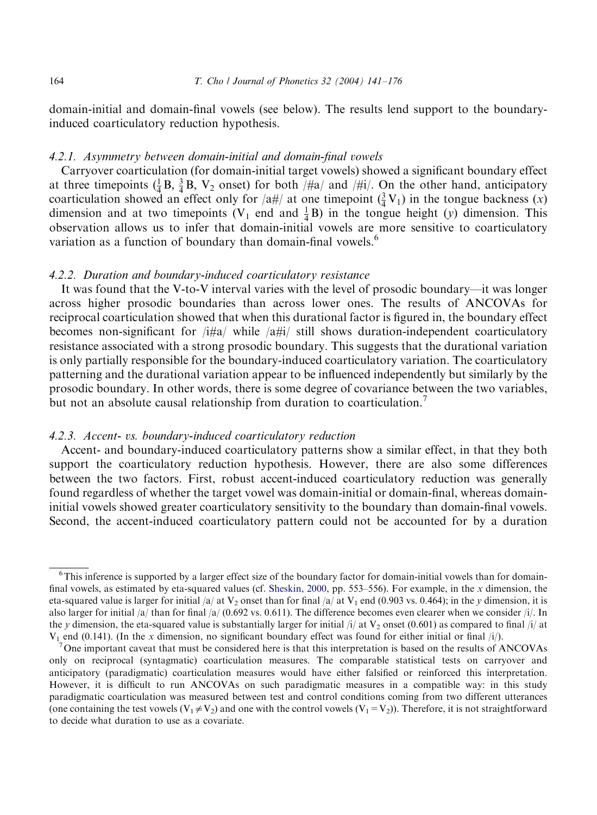#### 164 T. Cho / Journal of Phonetics 32 (2004) 141–176

domain-initial and domain-final vowels (see below). The results lend support to the boundaryinduced coarticulatory reduction hypothesis.

#### 4.2.1. Asymmetry between domain-initial and domain-final vowels

Carryover coarticulation (for domain-initial target vowels) showed a significant boundary effect at three timepoints  $(\frac{1}{4}B, \frac{3}{4}B, V_2 \text{ onset})$  for both /#a/ and /#i/. On the other hand, anticipatory coarticulation showed an effect only for  $\frac{1}{4}$  at one timepoint  $\left(\frac{3}{4}V_1\right)$  in the tongue backness  $(x)$ dimension and at two timepoints (V<sub>1</sub> end and  $\frac{1}{4}B$ ) in the tongue height (y) dimension. This observation allows us to infer that domain-initial vowels are more sensitive to coarticulatory variation as a function of boundary than domain-final vowels.<sup>6</sup>

# 4.2.2. Duration and boundary-induced coarticulatory resistance

It was found that the V-to-V interval varies with the level of prosodic boundary—it was longer across higher prosodic boundaries than across lower ones. The results of ANCOVAs for reciprocal coarticulation showed that when this durational factor is figured in, the boundary effect becomes non-significant for  $/i\#a/$  while  $/a\#i/$  still shows duration-independent coarticulatory resistance associated with a strong prosodic boundary. This suggests that the durational variation is only partially responsible for the boundary-induced coarticulatory variation. The coarticulatory patterning and the durational variation appear to be influenced independently but similarly by the prosodic boundary. In other words, there is some degree of covariance between the two variables, but not an absolute causal relationship from duration to coarticulation.<sup>7</sup>

# 4.2.3. Accent- vs. boundary-induced coarticulatory reduction

Accent- and boundary-induced coarticulatory patterns show a similar effect, in that they both support the coarticulatory reduction hypothesis. However, there are also some differences between the two factors. First, robust accent-induced coarticulatory reduction was generally found regardless of whether the target vowel was domain-initial or domain-final, whereas domaininitial vowels showed greater coarticulatory sensitivity to the boundary than domain-final vowels. Second, the accent-induced coarticulatory pattern could not be accounted for by a duration

 $6$ This inference is supported by a larger effect size of the boundary factor for domain-initial vowels than for domainfinal vowels, as estimated by eta-squared values (cf. Sheskin, 2000, pp. 553–556). For example, in the x dimension, the eta-squared value is larger for initial /a/ at V<sub>2</sub> onset than for final /a/ at V<sub>1</sub> end (0.903 vs. 0.464); in the v dimension, it is also larger for initial /a/ than for final /a/ (0.692 vs. 0.611). The difference becomes even clearer when we consider /i/. In the y dimension, the eta-squared value is substantially larger for initial  $j/4$  at  $V_2$  onset (0.601) as compared to final  $j/4$  at  $V_1$  end (0.141). (In the x dimension, no significant boundary effect was found for either initial or final  $|i\rangle$ ).

One important caveat that must be considered here is that this interpretation is based on the results of ANCOVAs only on reciprocal (syntagmatic) coarticulation measures. The comparable statistical tests on carryover and anticipatory (paradigmatic) coarticulation measures would have either falsified or reinforced this interpretation. However, it is difficult to run ANCOVAs on such paradigmatic measures in a compatible way: in this study paradigmatic coarticulation was measured between test and control conditions coming from two different utterances (one containing the test vowels  $(V_1 \neq V_2)$  and one with the control vowels  $(V_1 = V_2)$ ). Therefore, it is not straightforward to decide what duration to use as a covariate.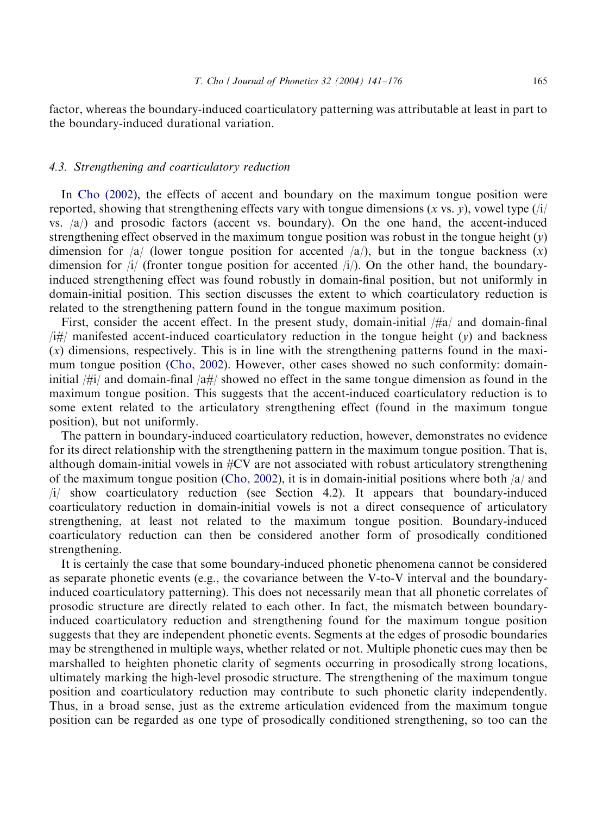factor, whereas the boundary-induced coarticulatory patterning was attributable at least in part to the boundary-induced durational variation.

#### 4.3. Strengthening and coarticulatory reduction

In Cho (2002), the effects of accent and boundary on the maximum tongue position were reported, showing that strengthening effects vary with tongue dimensions  $(x \text{ vs. } y)$ , vowel type  $(i)$ vs.  $\langle a \rangle$  and prosodic factors (accent vs. boundary). On the one hand, the accent-induced strengthening effect observed in the maximum tongue position was robust in the tongue height  $(y)$ dimension for  $|a|$  (lower tongue position for accented  $|a|$ ), but in the tongue backness  $(x)$ dimension for  $\pi/2$  (fronter tongue position for accented  $\pi/2$ ). On the other hand, the boundaryinduced strengthening effect was found robustly in domain-final position, but not uniformly in domain-initial position. This section discusses the extent to which coarticulatory reduction is related to the strengthe[ning patter](#page-32-0)n found in the tongue maximum position.

First, consider the accent effect. In the present study, domain-initial  $/\frac{4}{4}$  and domain-final  $\frac{1}{4}$  manifested accent-induced coarticulatory reduction in the tongue height (y) and backness  $(x)$  dimensions, respectively. This is in line with the strengthening patterns found in the maximum tongue position (Cho, 2002). However, other cases showed no such conformity: domaininitial  $/\frac{4}{7}$  and domain-final  $/a\frac{4}{7}$  showed no effect in the same tongue dimension as found in the maximum tongue position. This suggests that the accent-induced coarticulatory reduction is to some extent related to the articulatory strengthening effect (found in the maximum tongue position), but not uniformly.

The pattern in boundary-induc[ed](#page-32-0) [coarticul](#page-32-0)atory reduction, however, demonstrates no evidence for its direct relationship with the strengthening pattern in the maximum tongue position. That is, although domain-initial vowels in  $\#CV$  are not associated with robust articulatory strengthening of the maximum tongue position (Cho, 2002), it is in domain-initial positions where both /a/ and /i/ show coarticulatory reduction (see Section 4.2). It appears that boundary-induced coarticulatory reduction in domain-initial vowels is not a direct consequence of articulatory strengthening, at least not related to the maximum tongue position. Boundary-induced coarticulatory reduction can then be considered another form of prosodically conditioned strengthening.

It is certainly the case that some boundary-induced phonetic phenomena cannot be considered as separate phonetic events (e.g., the covariance between the V-to-V interval and the boundaryinduced coarticulatory patterning). This does not necessarily mean that all phonetic correlates of prosodic structure are directly related to each other. In fact, the mismatch between boundaryinduced coarticulatory reduction and strengthening found for the maximum tongue position suggests that they are independent phonetic events. Segments at the edges of prosodic boundaries may be strengthened in multiple ways, whether related or not. Multiple phonetic cues may then be marshalled to heighten phonetic clarity of segments occurring in prosodically strong locations, ultimately marking the high-level prosodic structure. The strengthening of the maximum tongue position and coarticulatory reduction may contribute to such phonetic clarity independently. Thus, in a broad sense, just as the extreme articulation evidenced from the maximum tongue position can be regarded as one type of prosodically conditioned strengthening, so too can the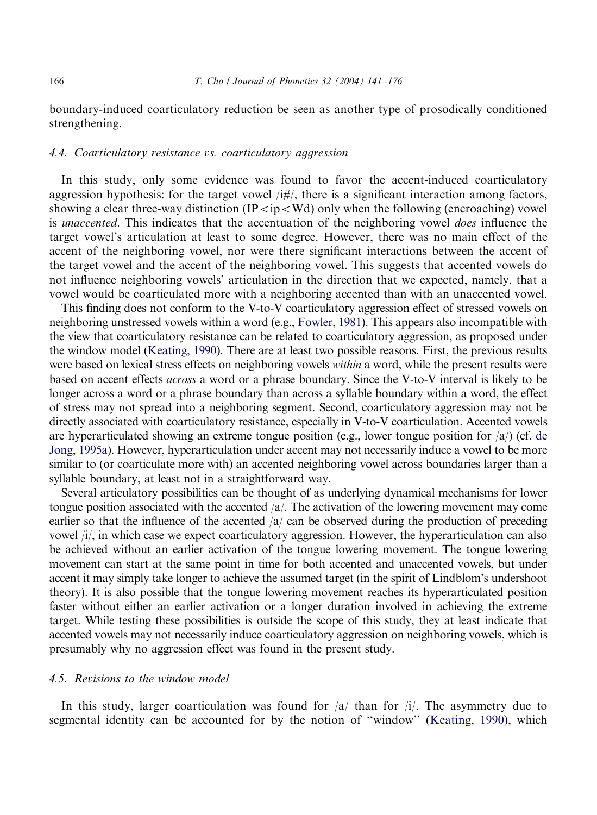boundary-induced coarticulatory reduction be seen as another type of prosodically conditioned strengthening.

# 4.4. Coarticulatory resistance vs. coarticulatory aggression

In this study, only some evidence was found to favor the accent-induced coarticulatory aggression hypothesis: for the target vowel  $/i\#/$ , there is a significant interaction among factors, showing a clear three-way distinction (IP $\langle$ ip $\langle Wd \rangle$ ) only when the following (encroaching) vowel is *unaccented*. This indicates that the accentuation of the neighboring vowel *does* influence the target vowel's articulation at least to some degree. However, there was no main effect of the accent of the neighboring vowel, nor were there significant interactions between the accent of the target vowel and the accent of the neighbor[ing vowel. Th](#page-33-0)is suggests that accented vowels do not influence neighboring vowels' articulation in the direction that we expected, namely, that a vowel would be co[articulated mo](#page-33-0)re with a neighboring accented than with an unaccented vowel.

This finding does not conform to the V-to-V coarticulatory aggression effect of stressed vowels on neighboring unstressed vowels within a word (e.g., Fowler, 1981). This appears also incompatible with the view that coarticulatory resistance can be related to coarticulatory aggression, as proposed under the window model (Keating, 1990). There are at least two possible reasons. First, the previous results were based on lexical stress effects on neighboring vowels within a word, while the present results were based on accent effects across a word or a phrase boundary. Since the V-to-V interval is likely to [be](#page-32-0) [longer acros](#page-32-0)s a word or a phrase boundary than across a syllable boundary within a word, the effect of stress may not spread into a neighboring segment. Second, coarticulatory aggression may not be directly associated with coarticulatory resistance, especially in V-to-V coarticulation. Accented vowels are hyperarticulated showing an extreme tongue position (e.g., lower tongue position for  $\alpha$ ) (cf. de Jong, 1995a). However, hyperarticulation under accent may not necessarily induce a vowel to be more similar to (or coarticulate more with) an accented neighboring vowel across boundaries larger than a syllable boundary, at least not in a straightforward way.

Several articulatory possibilities can be thought of as underlying dynamical mechanisms for lower tongue position associated with the accented /a/. The activation of the lowering movement may come earlier so that the influence of the accented  $\langle a \rangle$  can be observed during the production of preceding vowel /i/, in which case we expect coarticulatory aggression. However, the hyperarticulation can also be achieved without an earlier activation of the tongue lowering movement. The tongue lowering movement can start at the same point in time for both accented and unaccented vowels, but under accent it may simply take longer to achieve the assumed target (in the spirit of Lindblom's undershoot theory). It is also possible that the tongue lowering movement reaches its hyperarticulated position faster without either an earlier activation or a longer duration involved in achieving the extreme target. While testing these possibilities is outside the scope of this study, they at least indicate that accented vowels may not necessarily induce coarticulatory aggression on neighboring vowels, which is presumably why no aggression effect was found in the present study.

#### 4.5. Revisions to the window model

In this study, larger coarticulation was found for  $|a|$  than for  $|i|$ . The asymmetry due to segmental identity can be accounted for by the notion of ''window'' (Keating, 1990), which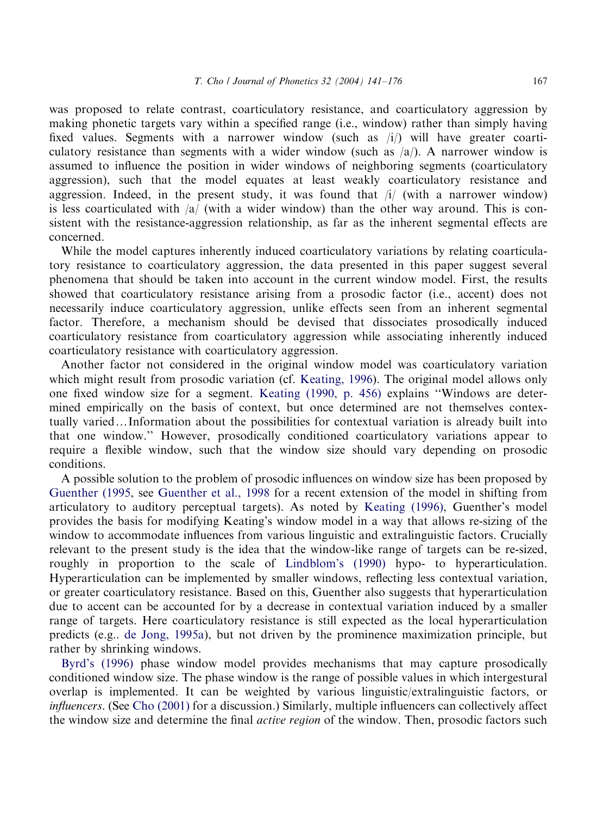was proposed to relate contrast, coarticulatory resistance, and coarticulatory aggression by making phonetic targets vary within a specified range (i.e., window) rather than simply having fixed values. Segments with a narrower window (such as  $(i)$ ) will have greater coarticulatory resistance than segments with a wider window (such as  $|a\rangle$ ). A narrower window is assumed to influence the position in wider windows of neighboring segments (coarticulatory aggression), such that the model equates at least weakly coarticulatory resistance and aggression. Indeed, in the present study, it was found that  $\frac{1}{2}$  (with a narrower window) is less coarticulated with  $\frac{a}{x}$  (with a wider window) than the other way around. This is consistent with the resistance-aggression relationship, as far as the inherent segmental effects are concerned.

While the model captures inherently induced coarticulatory variations by relating coarticulatory resistance to coarticulatory aggression, the data presented in this paper suggest several phenomena that should be taken into account in the current window model. First, the results showed that coarticulatory resistance arising from a prosodic factor (i.e., accent) does not necessarily induce coarticulatory aggression, unlike effects seen from an inherent segmental factor. Therefore, a mechanism should be [devised that](#page-33-0) dissociates prosodically induced coarticulatory resistance from coarticu[latory aggression while](#page-33-0) associating inherently induced coarticulatory resistance with coarticulatory aggression.

Another factor not considered in the original window model was coarticulatory variation which might result from prosodic variation (cf. Keating, 1996). The original model allows only one fixed window size for a segment. Keating (1990, p. 456) explains ''Windows are determined empirically on the basis of context, but once determined are not themselves contextually varied...Information about the possibilities for contextual variation is already built into [that one windo](#page-33-0)w.'' [However, prosodical](#page-33-0)ly conditioned coarticulatory variations appear to require a flexible window, such that the window size sh[ould vary depe](#page-33-0)nding on prosodic conditions.

A possible solution to the problem of prosodic influences on window size has been proposed by Guenther (1995, see Guenther et al., 1998 for a recent extension of the model in shifting from articulatory to auditory perceptual targets). [As noted by](#page-33-0) Keating (1996), Guenther's model provides the basis for modifying Keating's window model in a way that allows re-sizing of the window to accommodate influences from various linguistic and extralinguistic factors. Crucially relevant to the present study is the idea that the window-like range of targets can be re-sized, roughly in proportion to the scale of Lindblom's (1990) hypo- to hyperarticulation. Hyperarticula[tion can be imp](#page-32-0)lemented by smaller windows, reflecting less contextual variation, or greater coarticulatory resistance. Based on this, Guenther also suggests that hyperarticulation d[ue to accent ca](#page-32-0)n be accounted for by a decrease in contextual variation induced by a smaller range of targets. Here coarticulatory resistance is still expected as the local hyperarticulation predicts (e.g.. de Jong, 1995a), but not driven by the prominence maximization principle, but rather by shrin[king window](#page-32-0)s.

Byrd's (1996) phase window model provides mechanisms that may capture prosodically conditioned window size. The phase window is the range of possible values in which intergestural overlap is implemented. It can be weighted by various linguistic/extralinguistic factors, or influencers. (See Cho (2001) for a discussion.) Similarly, multiple influencers can collectively affect the window size and determine the final *active region* of the window. Then, prosodic factors such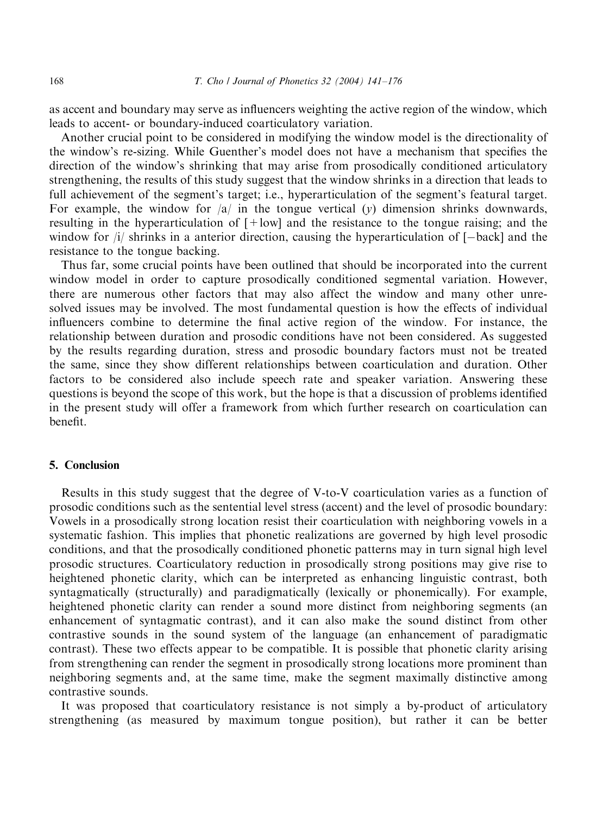as accent and boundary may serve as influencers weighting the active region of the window, which leads to accent- or boundary-induced coarticulatory variation.

Another crucial point to be considered in modifying the window model is the directionality of the window's re-sizing. While Guenther's model does not have a mechanism that specifies the direction of the window's shrinking that may arise from prosodically conditioned articulatory strengthening, the results of this study suggest that the window shrinks in a direction that leads to full achievement of the segment's target; i.e., hyperarticulation of the segment's featural target. For example, the window for  $|a|$  in the tongue vertical (y) dimension shrinks downwards, resulting in the hyperarticulation of  $[+low]$  and the resistance to the tongue raising; and the window for  $|i\rangle$  shrinks in a anterior direction, causing the hyperarticulation of  $[-\text{back}]$  and the resistance to the tongue backing.

Thus far, some crucial points have been outlined that should be incorporated into the current window model in order to capture prosodically conditioned segmental variation. However, there are numerous other factors that may also affect the window and many other unresolved issues may be involved. The most fundamental question is how the effects of individual influencers combine to determine the final active region of the window. For instance, the relationship between duration and prosodic conditions have not been considered. As suggested by the results regarding duration, stress and prosodic boundary factors must not be treated the same, since they show different relationships between coarticulation and duration. Other factors to be considered also include speech rate and speaker variation. Answering these questions is beyond the scope of this work, but the hope is that a discussion of problems identified in the present study will offer a framework from which further research on coarticulation can benefit.

# 5. Conclusion

Results in this study suggest that the degree of V-to-V coarticulation varies as a function of prosodic conditions such as the sentential level stress (accent) and the level of prosodic boundary: Vowels in a prosodically strong location resist their coarticulation with neighboring vowels in a systematic fashion. This implies that phonetic realizations are governed by high level prosodic conditions, and that the prosodically conditioned phonetic patterns may in turn signal high level prosodic structures. Coarticulatory reduction in prosodically strong positions may give rise to heightened phonetic clarity, which can be interpreted as enhancing linguistic contrast, both syntagmatically (structurally) and paradigmatically (lexically or phonemically). For example, heightened phonetic clarity can render a sound more distinct from neighboring segments (an enhancement of syntagmatic contrast), and it can also make the sound distinct from other contrastive sounds in the sound system of the language (an enhancement of paradigmatic contrast). These two effects appear to be compatible. It is possible that phonetic clarity arising from strengthening can render the segment in prosodically strong locations more prominent than neighboring segments and, at the same time, make the segment maximally distinctive among contrastive sounds.

It was proposed that coarticulatory resistance is not simply a by-product of articulatory strengthening (as measured by maximum tongue position), but rather it can be better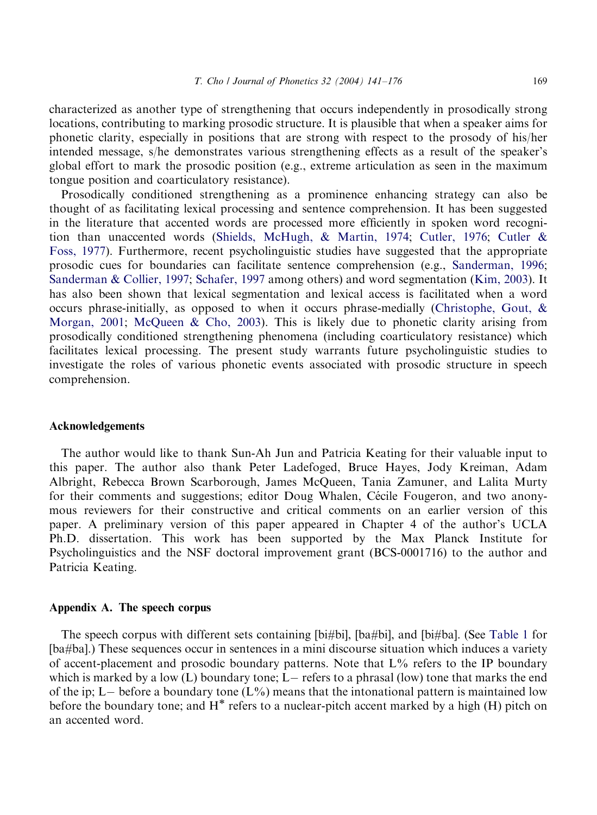characterized as another type of strengthening that occurs independently in prosodically strong locations, contributing to marking prosodic structure. It is plausible that when a speaker aims for phonetic clarity, especially in positions that are strong with respect to the prosody of his/her intended message, s/he demonstrates various strengthening effects as a result of the speaker's global effort to mark the prosodic position (e.g., extreme articulation as seen in the maximum tongue position and coarticulat[ory resistance\).](#page-34-0)

[Prosodic](#page-32-0)ally conditioned strengthening as a pro[minence](#page-34-0) [enhanc](#page-34-0)i[ng](#page-32-0) [strategy](#page-32-0) [c](#page-32-0)a[n](#page-32-0) [also](#page-32-0) [b](#page-32-0)e thought of as facilitating lexical processing and sentence comprehension. It [has been suggested](#page-34-0) [in the litera](#page-34-0)t[ure that accented words are](#page-34-0) processed more efficiently in spoken [word recog](#page-33-0)nition than unaccented words (Shields, McHugh, & Martin, 1974; Cutler, 1976; Cutler & Foss, 1977). Furthermore, recent psycholinguistic studies have suggested [that the appropriat](#page-32-0)e [prosodic cues](#page-32-0) f[or boundar](#page-34-0)i[es can facili](#page-34-0)tate sentence comprehension (e.g., Sanderman, 1996; Sanderman & Collier, 1997; Schafer, 1997 among others) and word segmentation (Kim, 2003). It has also been shown that lexical segmentation and lexical access is facilitated when a word occurs phrase-initially, as opposed to when it occurs phrase-medially (Christophe, Gout, & Morgan, 2001; McQueen & Cho, 2003). This is likely due to phonetic clarity arising from prosodically conditioned strengthening phenomena (including coarticulatory resistance) which facilitates lexical processing. The present study warrants future psycholinguistic studies to investigate the roles of various phonetic events associated with prosodic structure in speech comprehension.

#### Acknowledgements

The author would like to thank Sun-Ah Jun and Patricia Keating for their valuable input to this paper. The author also thank Peter Ladefoged, Bruce Hayes, Jody Kreiman, Adam Albright, Rebecca Brown Scarborough, James McQueen, Tania Zamuner, and Lalita Murty for their comments and suggestions; editor Doug Whalen, Cécile Fougeron, and two anonymous reviewers for their constructive and critical comments on an earlier version of this paper. A preliminary version of this paper appeared in Chapter 4 of the author's UCLA Ph.D. dissertation. This work has been supported by the Max Planck Institute for Psycholinguistics and the NSF doctoral improvement grant (BCS-0001716) to the author and Patricia Keating.

### Appendix A. The speech corpus

The speech corpus with different sets containing [bi#bi], [ba#bi], and [bi#ba]. (See Table 1 for [ba#ba].) These sequences occur in sentences in a mini discourse situation which induces a variety of accent-placement and prosodic boundary patterns. Note that L% refers to the IP boundary which is marked by a low (L) boundary tone; L- refers to a phrasal (low) tone that marks the end of the ip; L – before a boundary tone  $(L\%)$  means that the intonational pattern is maintained low before the boundary tone; and  $H^*$  refers to a nuclear-pitch accent marked by a high (H) pitch on an accented word.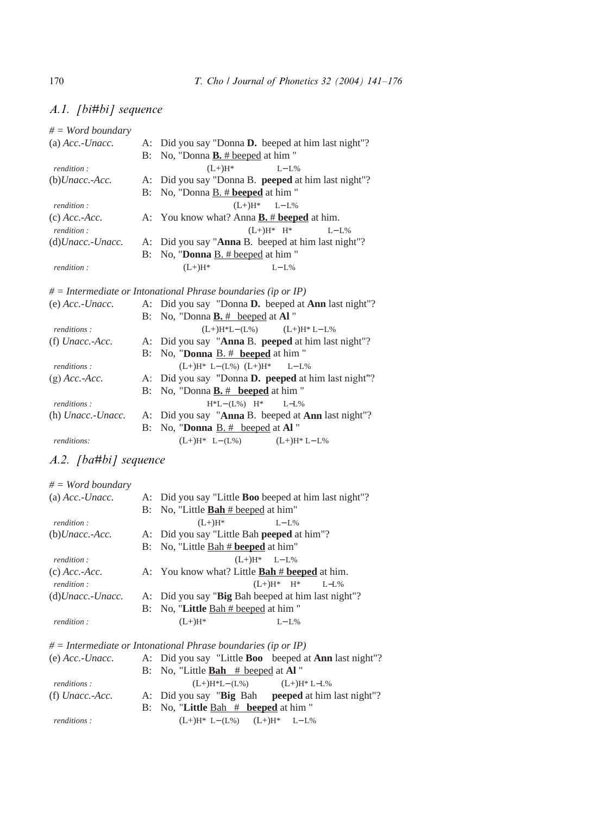# A.1. [bi#bi] sequence

| $#$ = Word boundary      |       |                                                                 |
|--------------------------|-------|-----------------------------------------------------------------|
| $(a)$ Acc.-Unacc.        | A:    | Did you say "Donna D. beeped at him last night"?                |
|                          | B:    | No, "Donna $\underline{\mathbf{B}}$ . # beeped at him "         |
| rendition:               |       | $(L+)H^*$<br>$L - L%$                                           |
| $(b)$ <i>Unacc.-Acc.</i> |       | A: Did you say "Donna B. peeped at him last night"?             |
|                          | B:    | No, "Donna <b>B</b> . # <b>beeped</b> at him "                  |
| rendition:               |       | $(L+)H^*$ $L-L\%$                                               |
| $(c)$ Acc.-Acc.          |       | A: You know what? Anna <b>B.</b> # <b>beeped</b> at him.        |
| rendition:               |       | $(L+)H^*$ $H^*$<br>$L - L%$                                     |
| $(d)$ Unacc.-Unacc.      |       | A: Did you say "Anna B. beeped at him last night"?              |
|                          | $B$ : | No, "Donna $\underline{B.}$ # beeped at him"                    |
| rendition:               |       | $(L+)H^*$<br>$L - L%$                                           |
|                          |       | $#$ = Intermediate or Intonational Phrase boundaries (ip or IP) |
| $(e)$ Acc.-Unacc.        |       | A: Did you say "Donna D. beeped at Ann last night"?             |
|                          |       | B: No, "Donna $\mathbf{B}$ . # beeped at Al"                    |
| renditions:              |       | $(L+)H^*L-(L\%)$ $(L+)H^*L-L\%$                                 |
| $(f)$ Unacc.-Acc.        |       | A: Did you say "Anna B. peeped at him last night"?              |
|                          | $B$ : | No, "Donna $\underline{B.}$ # beeped at him"                    |
| renditions:              |       | $(L+)H^* L-(L\%) (L+)H^* L-L\%$                                 |
| $(g)$ Acc.-Acc.          |       | A: Did you say "Donna <b>D. peeped</b> at him last night"?      |
|                          | $B$ : | No, "Donna $\mathbf{B}$ . # beeped at him "                     |
| renditions:              |       | $H^*L - (L\%)$ $H^*$<br>$L - L\%$                               |
| (h) Unacc.-Unacc.        |       | A: Did you say "Anna B. beeped at Ann last night"?              |
|                          | $B$ : | No, "Donna $\underline{B. #}$ beeped at Al"                     |
| renditions:              |       | $(L+)H^*$ L- $(L%)$ $(L+)H^*$ L- $L%$                           |

# A.2. [ba#bi] sequence

| $#$ = Word boundary      |                                                                |
|--------------------------|----------------------------------------------------------------|
| $(a)$ Acc.-Unacc.        | A: Did you say "Little <b>Boo</b> beeped at him last night"?   |
|                          | B: No, "Little $Bah #$ beeped at him"                          |
| rendition:               | $(L+)H^*$<br>$I - I$ .%                                        |
| $(b)$ <i>Unacc.-Acc.</i> | A: Did you say "Little Bah <b>peeped</b> at him"?              |
|                          | B: No. "Little Bah # beeped at him"                            |
| rendition:               | $(L+)H^*$ $L-L\%$                                              |
| $(c)$ Acc.-Acc.          | A: You know what? Little <b>Bah</b> # <b>beeped</b> at him.    |
| rendition:               | $(L+)H^*$ $H^*$ $L-L\%$                                        |
| $(d)$ Unacc.-Unacc.      | A: Did you say "Big Bah beeped at him last night"?             |
|                          | B: No, "Little $\underline{Bah} \# \underline{beeped}$ at him" |
| rendition:               | $(L+)H^*$<br>$I - I$ .%                                        |

# *# = Intermediate or Intonational Phrase boundaries (ip or IP)*

| $(e)$ Acc.-Unacc.  | A: Did you say "Little <b>Boo</b> beeped at <b>Ann</b> last night"? |
|--------------------|---------------------------------------------------------------------|
|                    | B: No. "Little <b>Bah</b> $#$ beeped at <b>Al</b> "                 |
| <i>renditions:</i> | $(L+)H^*L-(L\%)$ $(L+)H^*L-L\%$                                     |
| $(f)$ Unacc.-Acc.  | A: Did you say " <b>Big</b> Bah <b>peeped</b> at him last night"?   |
|                    | B: No, "Little Bah # beeped at him"                                 |
| renditions:        | $(L+)H^* L-(L\%)$ $(L+)H^* L-L\%$                                   |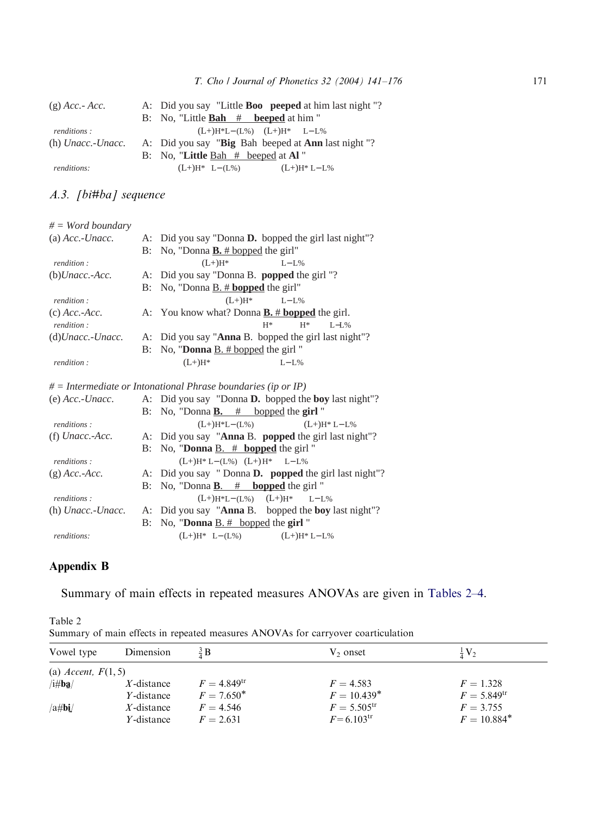<span id="page-30-0"></span>

| $(g)$ Acc. - Acc.  | A: Did you say "Little <b>Boo</b> peeped at him last night"? |
|--------------------|--------------------------------------------------------------|
|                    | $B: No.$ "Little <b>Bah</b> $#$ beeped at him"               |
| <i>renditions:</i> | $(L+)H^*L-(L\%)$ $(L+)H^*$ $L-L\%$                           |
| (h) Unacc.-Unacc.  | A: Did you say "Big Bah beeped at Ann last night"?           |
|                    | B: No, "Little Bah $#$ beeped at Al"                         |
| renditions:        | $(L+)H^*$ L- $(L\%)$ $(L+)H^*$ L-L%                          |

# A.3. [bi#ba] sequence

| $#$ = Word boundary      |                                                                                      |
|--------------------------|--------------------------------------------------------------------------------------|
| $(a)$ Acc.-Unacc.        | A: Did you say "Donna D. bopped the girl last night"?                                |
|                          | B: No, "Donna $\underline{\mathbf{B}}$ . # bopped the girl"                          |
| rendition:               | $(L+)H^*$<br>$L - L%$                                                                |
| $(b)$ <i>Unacc.-Acc.</i> | A: Did you say "Donna B. <b>popped</b> the girl"?                                    |
|                          | $B: No, "Donna B. # bopped the girl"$                                                |
| rendition:               | $(L+)H^*$<br>$L - L$ %                                                               |
| $(c)$ Acc.-Acc.          | A: You know what? Donna $\underline{\mathbf{B}}$ . # <b>bopped</b> the girl.         |
| rendition:               | $H^*$<br>$L - L$ %<br>$H^*$                                                          |
| $(d)$ Unacc.-Unacc.      | A: Did you say " <b>Anna</b> B. bopped the girl last night"?                         |
|                          | B: No, " <b>Donna</b> $\underline{B}$ . # bopped the girl"                           |
| rendition:               | $(L+)H^*$<br>$L - L%$                                                                |
|                          | $\#$ = Intermediate or Intonational Phrase boundaries (ip or IP)                     |
|                          | (e) $Acc.-Unacc.$ A: Did you say "Donna <b>D.</b> bopped the <b>boy</b> last night"? |
|                          | B: No, "Donna $\underline{\mathbf{B}}$ . # bopped the girl"                          |

| renditions:         | $(L+)H^*L-(L\%)$ $(L+)H^*L-L\%$                                    |  |
|---------------------|--------------------------------------------------------------------|--|
| $(f)$ Unacc.-Acc.   | A: Did you say "Anna B. popped the girl last night"?               |  |
|                     | B: No, "Donna $\underline{B}$ . # bopped the girl"                 |  |
| renditions:         | $(L+)H^*L-(L\%)$ $(L+)H^*$ $L-L\%$                                 |  |
| $(g)$ Acc.-Acc.     | A: Did you say "Donna <b>D. popped</b> the girl last night"?       |  |
|                     | B: No, "Donna $\underline{\mathbf{B}}$ . # <b>bopped</b> the girl" |  |
| renditions:         | $(L+)H^*L-(L\%)$ $(L+)H^*$ $L-L\%$                                 |  |
| $(h)$ Unacc.-Unacc. | A: Did you say "Anna B. bopped the boy last night"?                |  |
|                     | B: No, "Donna $B. \#$ bopped the girl"                             |  |
| renditions:         | $(L+)H^*$ L- $(L\%)$ $(L+)H^*$ L-L%                                |  |
|                     |                                                                    |  |

# Appendix B

Summary of main effects in repeated measures ANOVAs are given in Tables 2–4.

| bummary or main checks in repeated measures <i>i</i> xivo vixs for early over coarticulation |                    |                |                |                  |  |
|----------------------------------------------------------------------------------------------|--------------------|----------------|----------------|------------------|--|
| Vowel type                                                                                   | Dimension          | $\frac{3}{4}B$ | $V_2$ onset    | $\frac{1}{4}V_2$ |  |
| (a) <i>Accent</i> , $F(1, 5)$                                                                |                    |                |                |                  |  |
| /i#ba/                                                                                       | $X$ -distance      | $F = 4.849$ tr | $F = 4.583$    | $F = 1.328$      |  |
|                                                                                              | <i>Y</i> -distance | $F = 7.650^*$  | $F = 10.439^*$ | $F = 5.849$ tr   |  |
| a#bi/                                                                                        | $X$ -distance      | $F = 4.546$    | $F = 5.505$ tr | $F = 3.755$      |  |
|                                                                                              | <i>Y</i> -distance | $F = 2.631$    | $F = 6.103$ tr | $F = 10.884*$    |  |

Table 2 Summary of main effects in repeated measures ANOVAs for carryover coarticulation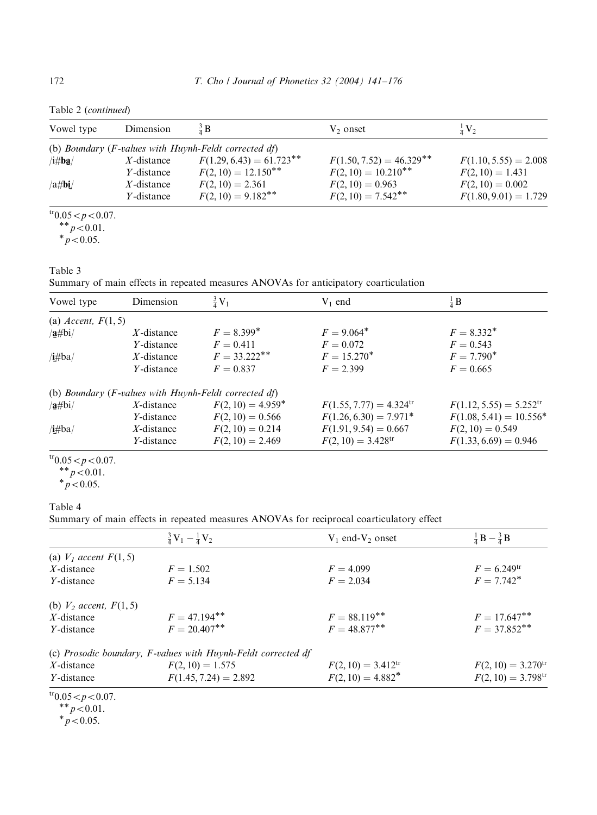| Table 2 (continued) |           |                 |  |  |
|---------------------|-----------|-----------------|--|--|
| Vowel type          | Dimension | $\frac{3}{4}$ B |  |  |

| Vowel type                                                         | Dimension          | $\frac{3}{4}$ B                                           | $V_2$ onset                | $\frac{1}{4}V_2$        |
|--------------------------------------------------------------------|--------------------|-----------------------------------------------------------|----------------------------|-------------------------|
|                                                                    |                    | (b) Boundary ( $F$ -values with Huynh-Feldt corrected df) |                            |                         |
| /i#ba/                                                             | $X$ -distance      | $F(1.29, 6.43) = 61.723**$                                | $F(1.50, 7.52) = 46.329**$ | $F(1.10, 5.55) = 2.008$ |
|                                                                    | <i>Y</i> -distance | $F(2, 10) = 12.150**$                                     | $F(2, 10) = 10.210**$      | $F(2, 10) = 1.431$      |
| $/a\#$ bi                                                          | $X$ -distance      | $F(2, 10) = 2.361$                                        | $F(2, 10) = 0.963$         | $F(2, 10) = 0.002$      |
|                                                                    | <i>Y</i> -distance | $F(2, 10) = 9.182$ **                                     | $F(2, 10) = 7.542$ **      | $F(1.80, 9.01) = 1.729$ |
| $\frac{\pi}{2}$ or $\frac{1}{2}$ or $\frac{1}{2}$ or $\frac{1}{2}$ |                    |                                                           |                            |                         |

 $r_{0.05 < p < 0.07}$ .<br>\*\*  $p < 0.01$ .<br>\*  $p < 0.05$ .

Table 3

Summary of main effects in repeated measures ANOVAs for anticipatory coarticulation

| Vowel type           | Dimension          | $\frac{3}{4}V_1$                                          | $V_1$ end                             | $\frac{1}{4}B$                        |
|----------------------|--------------------|-----------------------------------------------------------|---------------------------------------|---------------------------------------|
| (a) Accent, $F(1,5)$ |                    |                                                           |                                       |                                       |
| a#bi/                | $X$ -distance      | $F = 8.399*$                                              | $F = 9.064*$                          | $F = 8.332^*$                         |
|                      | <i>Y</i> -distance | $F = 0.411$                                               | $F = 0.072$                           | $F = 0.543$                           |
| $\mathbf{H}$ ba/     | $X$ -distance      | $F = 33.222$ <sup>**</sup>                                | $F = 15.270^*$                        | $F = 7.790^*$                         |
|                      | <i>Y</i> -distance | $F = 0.837$                                               | $F = 2.399$                           | $F = 0.665$                           |
|                      |                    | (b) Boundary ( $F$ -values with Huynh-Feldt corrected df) |                                       |                                       |
| a#bi/                | $X$ -distance      | $F(2, 10) = 4.959*$                                       | $F(1.55, 7.77) = 4.324$ <sup>tr</sup> | $F(1.12, 5.55) = 5.252$ <sup>tr</sup> |
|                      | <i>Y</i> -distance | $F(2, 10) = 0.566$                                        | $F(1.26, 6.30) = 7.971*$              | $F(1.08, 5.41) = 10.556*$             |
| /i#ba/               | $X$ -distance      | $F(2, 10) = 0.214$                                        | $F(1.91, 9.54) = 0.667$               | $F(2, 10) = 0.549$                    |
|                      | <i>Y</i> -distance | $F(2, 10) = 2.469$                                        | $F(2, 10) = 3.428$ <sup>tr</sup>      | $F(1.33, 6.69) = 0.946$               |
|                      |                    |                                                           |                                       |                                       |

tro.05 <  $p$  < 0.07.<br>\*\*  $p$  < 0.01.<br>\*  $p$  < 0.05.

# Table 4

Summary of main effects in repeated measures ANOVAs for reciprocal coarticulatory effect

|                                                    | $\frac{3}{4}V_1 - \frac{1}{4}V_2$                             | $V_1$ end- $V_2$ onset           | $\frac{1}{4}B - \frac{3}{4}B$    |
|----------------------------------------------------|---------------------------------------------------------------|----------------------------------|----------------------------------|
| (a) $V_1$ accent $F(1, 5)$                         |                                                               |                                  |                                  |
| $X$ -distance                                      | $F = 1.502$                                                   | $F = 4.099$                      | $F = 6.249$ tr                   |
| <i>Y</i> -distance                                 | $F = 5.134$                                                   | $F = 2.034$                      | $F = 7.742^*$                    |
| (b) $V_2$ accent, $F(1,5)$                         |                                                               |                                  |                                  |
| $X$ -distance                                      | $F = 47.194***$                                               | $F = 88.119***$                  | $F = 17.647**$                   |
| <i>Y</i> -distance                                 | $F = 20.407***$                                               | $F = 48.877***$                  | $F = 37.852***$                  |
|                                                    | (c) Prosodic boundary, F-values with Huynh-Feldt corrected df |                                  |                                  |
| $X$ -distance                                      | $F(2, 10) = 1.575$                                            | $F(2, 10) = 3.412$ <sup>tr</sup> | $F(2, 10) = 3.270$ <sup>tr</sup> |
| Y-distance                                         | $F(1.45, 7.24) = 2.892$                                       | $F(2, 10) = 4.882^*$             | $F(2, 10) = 3.798$ tr            |
| $\frac{\text{tr}_{0.05}}{10.05}$ $\mu$ $\sim$ 0.07 |                                                               |                                  |                                  |

 $t^{0.05 < p < 0.07$ .<br>\*\* $p < 0.01$ .<br>\* $p < 0.05$ .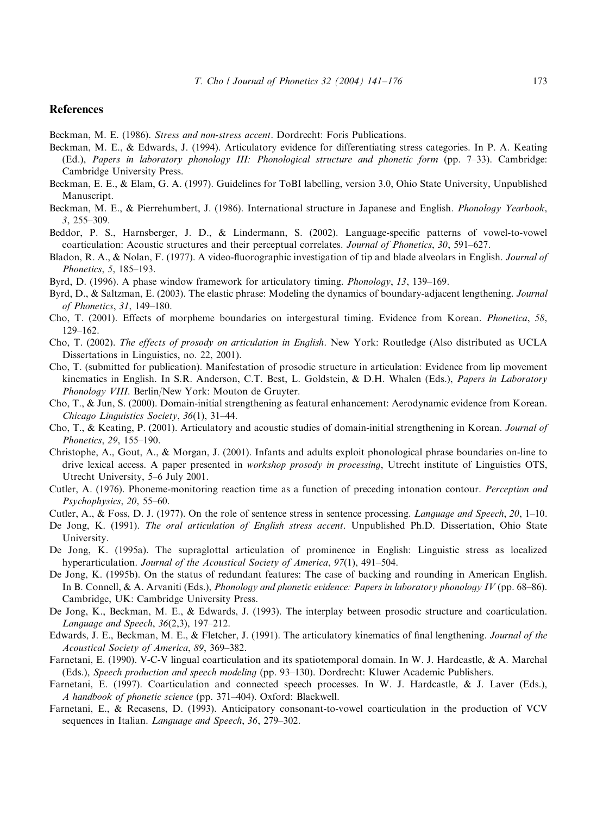#### <span id="page-32-0"></span>References

- Beckman, M. E. (1986). Stress and non-stress accent. Dordrecht: Foris Publications.
- Beckman, M. E., & Edwards, J. (1994). Articulatory evidence for differentiating stress categories. In P. A. Keating (Ed.), Papers in laboratory phonology III: Phonological structure and phonetic form (pp. 7–33). Cambridge: Cambridge University Press.
- Beckman, E. E., & Elam, G. A. (1997). Guidelines for ToBI labelling, version 3.0, Ohio State University, Unpublished Manuscript.
- Beckman, M. E., & Pierrehumbert, J. (1986). International structure in Japanese and English. Phonology Yearbook, 3, 255–309.
- Beddor, P. S., Harnsberger, J. D., & Lindermann, S. (2002). Language-specific patterns of vowel-to-vowel coarticulation: Acoustic structures and their perceptual correlates. Journal of Phonetics, 30, 591–627.
- Bladon, R. A., & Nolan, F. (1977). A video-fluorographic investigation of tip and blade alveolars in English. *Journal of* Phonetics, 5, 185–193.
- Byrd, D. (1996). A phase window framework for articulatory timing. Phonology, 13, 139–169.
- Byrd, D., & Saltzman, E. (2003). The elastic phrase: Modeling the dynamics of boundary-adjacent lengthening. Journal of Phonetics, 31, 149–180.
- Cho, T. (2001). Effects of morpheme boundaries on intergestural timing. Evidence from Korean. Phonetica, 58, 129–162.
- Cho, T. (2002). The effects of prosody on articulation in English. New York: Routledge (Also distributed as UCLA Dissertations in Linguistics, no. 22, 2001).
- Cho, T. (submitted for publication). Manifestation of prosodic structure in articulation: Evidence from lip movement kinematics in English. In S.R. Anderson, C.T. Best, L. Goldstein, & D.H. Whalen (Eds.), Papers in Laboratory Phonology VIII. Berlin/New York: Mouton de Gruyter.
- Cho, T., & Jun, S. (2000). Domain-initial strengthening as featural enhancement: Aerodynamic evidence from Korean. Chicago Linguistics Society, 36(1), 31–44.
- Cho, T., & Keating, P. (2001). Articulatory and acoustic studies of domain-initial strengthening in Korean. Journal of Phonetics, 29, 155–190.
- Christophe, A., Gout, A., & Morgan, J. (2001). Infants and adults exploit phonological phrase boundaries on-line to drive lexical access. A paper presented in workshop prosody in processing, Utrecht institute of Linguistics OTS, Utrecht University, 5–6 July 2001.
- Cutler, A. (1976). Phoneme-monitoring reaction time as a function of preceding intonation contour. Perception and Psychophysics, 20, 55–60.
- Cutler, A., & Foss, D. J. (1977). On the role of sentence stress in sentence processing. Language and Speech, 20, 1–10.
- De Jong, K. (1991). The oral articulation of English stress accent. Unpublished Ph.D. Dissertation, Ohio State University.
- De Jong, K. (1995a). The supraglottal articulation of prominence in English: Linguistic stress as localized hyperarticulation. Journal of the Acoustical Society of America, 97(1), 491–504.
- De Jong, K. (1995b). On the status of redundant features: The case of backing and rounding in American English. In B. Connell, & A. Arvaniti (Eds.), *Phonology and phonetic evidence: Papers in laboratory phonology IV* (pp. 68–86). Cambridge, UK: Cambridge University Press.
- De Jong, K., Beckman, M. E., & Edwards, J. (1993). The interplay between prosodic structure and coarticulation. Language and Speech, 36(2,3), 197–212.
- Edwards, J. E., Beckman, M. E., & Fletcher, J. (1991). The articulatory kinematics of final lengthening. Journal of the Acoustical Society of America, 89, 369–382.
- Farnetani, E. (1990). V-C-V lingual coarticulation and its spatiotemporal domain. In W. J. Hardcastle, & A. Marchal (Eds.), Speech production and speech modeling (pp. 93–130). Dordrecht: Kluwer Academic Publishers.
- Farnetani, E. (1997). Coarticulation and connected speech processes. In W. J. Hardcastle, & J. Laver (Eds.), A handbook of phonetic science (pp. 371–404). Oxford: Blackwell.
- Farnetani, E., & Recasens, D. (1993). Anticipatory consonant-to-vowel coarticulation in the production of VCV sequences in Italian. Language and Speech, 36, 279–302.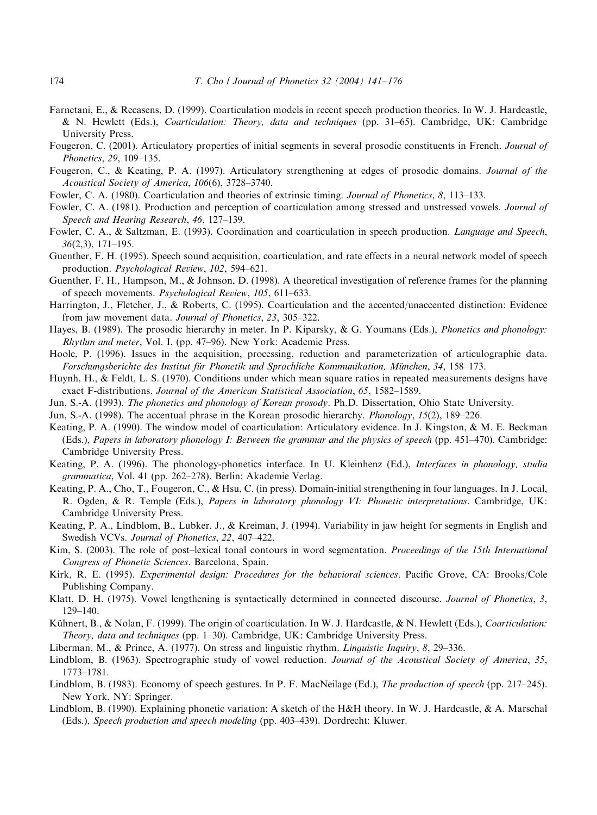- <span id="page-33-0"></span>Farnetani, E., & Recasens, D. (1999). Coarticulation models in recent speech production theories. In W. J. Hardcastle, & N. Hewlett (Eds.), Coarticulation: Theory, data and techniques (pp. 31–65). Cambridge, UK: Cambridge University Press.
- Fougeron, C. (2001). Articulatory properties of initial segments in several prosodic constituents in French. Journal of Phonetics, 29, 109–135.
- Fougeron, C., & Keating, P. A. (1997). Articulatory strengthening at edges of prosodic domains. Journal of the Acoustical Society of America, 106(6), 3728–3740.
- Fowler, C. A. (1980). Coarticulation and theories of extrinsic timing. Journal of Phonetics, 8, 113–133.
- Fowler, C. A. (1981). Production and perception of coarticulation among stressed and unstressed vowels. Journal of Speech and Hearing Research, 46, 127–139.
- Fowler, C. A., & Saltzman, E. (1993). Coordination and coarticulation in speech production. Language and Speech, 36(2,3), 171–195.
- Guenther, F. H. (1995). Speech sound acquisition, coarticulation, and rate effects in a neural network model of speech production. Psychological Review, 102, 594–621.
- Guenther, F. H., Hampson, M., & Johnson, D. (1998). A theoretical investigation of reference frames for the planning of speech movements. Psychological Review, 105, 611–633.
- Harrington, J., Fletcher, J., & Roberts, C. (1995). Coarticulation and the accented/unaccented distinction: Evidence from jaw movement data. Journal of Phonetics, 23, 305–322.
- Hayes, B. (1989). The prosodic hierarchy in meter. In P. Kiparsky, & G. Youmans (Eds.), *Phonetics and phonology*: Rhythm and meter, Vol. I. (pp. 47–96). New York: Academic Press.
- Hoole, P. (1996). Issues in the acquisition, processing, reduction and parameterization of articulographic data. Forschungsberichte des Institut für Phonetik und Sprachliche Kommunikation, München, 34, 158–173.
- Huynh, H., & Feldt, L. S. (1970). Conditions under which mean square ratios in repeated measurements designs have exact F-distributions. Journal of the American Statistical Association, 65, 1582–1589.
- Jun, S.-A. (1993). The phonetics and phonology of Korean prosody. Ph.D. Dissertation, Ohio State University.
- Jun, S.-A. (1998). The accentual phrase in the Korean prosodic hierarchy. Phonology, 15(2), 189–226.
- Keating, P. A. (1990). The window model of coarticulation: Articulatory evidence. In J. Kingston, & M. E. Beckman (Eds.), Papers in laboratory phonology I: Between the grammar and the physics of speech (pp. 451–470). Cambridge: Cambridge University Press.
- Keating, P. A. (1996). The phonology-phonetics interface. In U. Kleinhenz (Ed.), *Interfaces in phonology, studia* grammatica, Vol. 41 (pp. 262–278). Berlin: Akademie Verlag.
- Keating, P. A., Cho, T., Fougeron, C., & Hsu, C. (in press). Domain-initial strengthening in four languages. In J. Local, R. Ogden, & R. Temple (Eds.), Papers in laboratory phonology VI: Phonetic interpretations. Cambridge, UK: Cambridge University Press.
- Keating, P. A., Lindblom, B., Lubker, J., & Kreiman, J. (1994). Variability in jaw height for segments in English and Swedish VCVs. Journal of Phonetics, 22, 407–422.
- Kim, S. (2003). The role of post-lexical tonal contours in word segmentation. Proceedings of the 15th International Congress of Phonetic Sciences. Barcelona, Spain.
- Kirk, R. E. (1995). Experimental design: Procedures for the behavioral sciences. Pacific Grove, CA: Brooks/Cole Publishing Company.
- Klatt, D. H. (1975). Vowel lengthening is syntactically determined in connected discourse. Journal of Phonetics, 3, 129–140.
- Kühnert, B., & Nolan, F. (1999). The origin of coarticulation. In W. J. Hardcastle, & N. Hewlett (Eds.), *Coarticulation*: Theory, data and techniques (pp. 1–30). Cambridge, UK: Cambridge University Press.
- Liberman, M., & Prince, A. (1977). On stress and linguistic rhythm. Linguistic Inquiry, 8, 29–336.
- Lindblom, B. (1963). Spectrographic study of vowel reduction. Journal of the Acoustical Society of America, 35, 1773–1781.
- Lindblom, B. (1983). Economy of speech gestures. In P. F. MacNeilage (Ed.), The production of speech (pp. 217–245). New York, NY: Springer.
- Lindblom, B. (1990). Explaining phonetic variation: A sketch of the H&H theory. In W. J. Hardcastle, & A. Marschal (Eds.), Speech production and speech modeling (pp. 403–439). Dordrecht: Kluwer.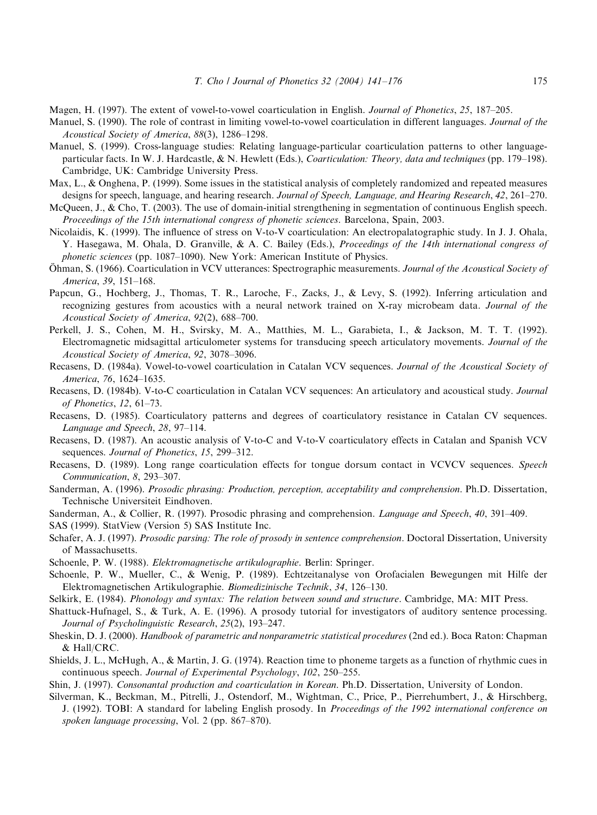- <span id="page-34-0"></span>Magen, H. (1997). The extent of vowel-to-vowel coarticulation in English. Journal of Phonetics, 25, 187–205.
- Manuel, S. (1990). The role of contrast in limiting vowel-to-vowel coarticulation in different languages. Journal of the Acoustical Society of America, 88(3), 1286–1298.
- Manuel, S. (1999). Cross-language studies: Relating language-particular coarticulation patterns to other languageparticular facts. In W. J. Hardcastle, & N. Hewlett (Eds.), Coarticulation: Theory, data and techniques (pp. 179–198). Cambridge, UK: Cambridge University Press.
- Max, L., & Onghena, P. (1999). Some issues in the statistical analysis of completely randomized and repeated measures designs for speech, language, and hearing research. Journal of Speech, Language, and Hearing Research, 42, 261–270.
- McQueen, J., & Cho, T. (2003). The use of domain-initial strengthening in segmentation of continuous English speech. Proceedings of the 15th international congress of phonetic sciences. Barcelona, Spain, 2003.
- Nicolaidis, K. (1999). The influence of stress on V-to-V coarticulation: An electropalatographic study. In J. J. Ohala, Y. Hasegawa, M. Ohala, D. Granville, & A. C. Bailey (Eds.), Proceedings of the 14th international congress of phonetic sciences (pp. 1087–1090). New York: American Institute of Physics.
- Ohman, S. (1966). Coarticulation in VCV utterances: Spectrographic measurements. Journal of the Acoustical Society of America, 39, 151–168.
- Papcun, G., Hochberg, J., Thomas, T. R., Laroche, F., Zacks, J., & Levy, S. (1992). Inferring articulation and recognizing gestures from acoustics with a neural network trained on X-ray microbeam data. Journal of the Acoustical Society of America, 92(2), 688–700.
- Perkell, J. S., Cohen, M. H., Svirsky, M. A., Matthies, M. L., Garabieta, I., & Jackson, M. T. T. (1992). Electromagnetic midsagittal articulometer systems for transducing speech articulatory movements. Journal of the Acoustical Society of America, 92, 3078–3096.
- Recasens, D. (1984a). Vowel-to-vowel coarticulation in Catalan VCV sequences. Journal of the Acoustical Society of America, 76, 1624–1635.
- Recasens, D. (1984b). V-to-C coarticulation in Catalan VCV sequences: An articulatory and acoustical study. Journal of Phonetics, 12, 61–73.
- Recasens, D. (1985). Coarticulatory patterns and degrees of coarticulatory resistance in Catalan CV sequences. Language and Speech, 28, 97–114.
- Recasens, D. (1987). An acoustic analysis of V-to-C and V-to-V coarticulatory effects in Catalan and Spanish VCV sequences. Journal of Phonetics, 15, 299-312.
- Recasens, D. (1989). Long range coarticulation effects for tongue dorsum contact in VCVCV sequences. Speech Communication, 8, 293–307.
- Sanderman, A. (1996). Prosodic phrasing: Production, perception, acceptability and comprehension. Ph.D. Dissertation, Technische Universiteit Eindhoven.

Sanderman, A., & Collier, R. (1997). Prosodic phrasing and comprehension. Language and Speech, 40, 391–409.

SAS (1999). StatView (Version 5) SAS Institute Inc.

- Schafer, A. J. (1997). Prosodic parsing: The role of prosody in sentence comprehension. Doctoral Dissertation, University of Massachusetts.
- Schoenle, P. W. (1988). Elektromagnetische artikulographie. Berlin: Springer.
- Schoenle, P. W., Mueller, C., & Wenig, P. (1989). Echtzeitanalyse von Orofacialen Bewegungen mit Hilfe der Elektromagnetischen Artikulographie. Biomedizinische Technik, 34, 126–130.
- Selkirk, E. (1984). Phonology and syntax: The relation between sound and structure. Cambridge, MA: MIT Press.
- Shattuck-Hufnagel, S., & Turk, A. E. (1996). A prosody tutorial for investigators of auditory sentence processing. Journal of Psycholinguistic Research, 25(2), 193–247.
- Sheskin, D. J. (2000). Handbook of parametric and nonparametric statistical procedures (2nd ed.). Boca Raton: Chapman & Hall/CRC.
- Shields, J. L., McHugh, A., & Martin, J. G. (1974). Reaction time to phoneme targets as a function of rhythmic cues in continuous speech. Journal of Experimental Psychology, 102, 250–255.

Shin, J. (1997). Consonantal production and coarticulation in Korean. Ph.D. Dissertation, University of London.

Silverman, K., Beckman, M., Pitrelli, J., Ostendorf, M., Wightman, C., Price, P., Pierrehumbert, J., & Hirschberg, J. (1992). TOBI: A standard for labeling English prosody. In Proceedings of the 1992 international conference on spoken language processing, Vol. 2 (pp. 867–870).